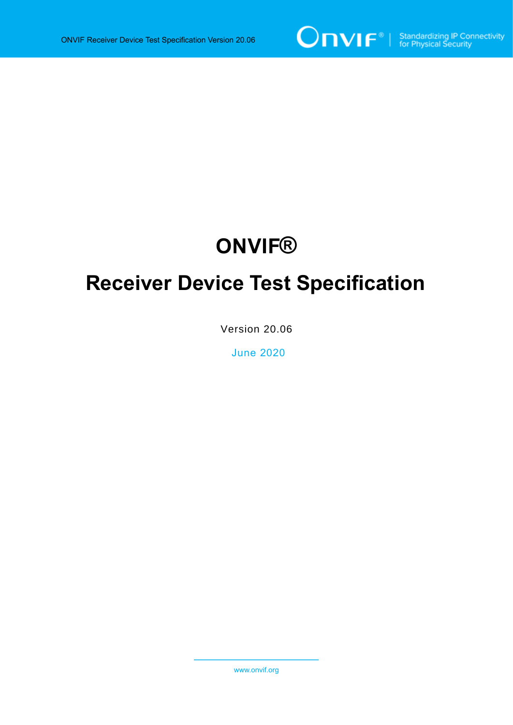

# **ONVIF®**

# **Receiver Device Test Specification**

Version 20.06

June 2020

www.onvif.org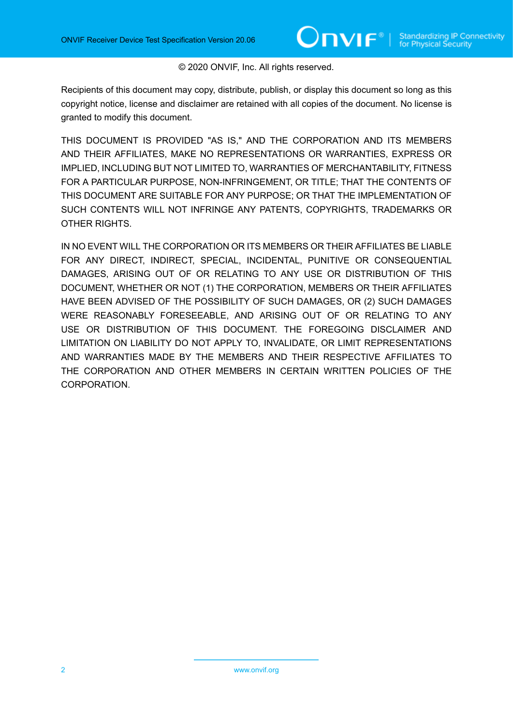#### © 2020 ONVIF, Inc. All rights reserved.

Recipients of this document may copy, distribute, publish, or display this document so long as this copyright notice, license and disclaimer are retained with all copies of the document. No license is granted to modify this document.

THIS DOCUMENT IS PROVIDED "AS IS," AND THE CORPORATION AND ITS MEMBERS AND THEIR AFFILIATES, MAKE NO REPRESENTATIONS OR WARRANTIES, EXPRESS OR IMPLIED, INCLUDING BUT NOT LIMITED TO, WARRANTIES OF MERCHANTABILITY, FITNESS FOR A PARTICULAR PURPOSE, NON-INFRINGEMENT, OR TITLE; THAT THE CONTENTS OF THIS DOCUMENT ARE SUITABLE FOR ANY PURPOSE; OR THAT THE IMPLEMENTATION OF SUCH CONTENTS WILL NOT INFRINGE ANY PATENTS, COPYRIGHTS, TRADEMARKS OR OTHER RIGHTS.

IN NO EVENT WILL THE CORPORATION OR ITS MEMBERS OR THEIR AFFILIATES BE LIABLE FOR ANY DIRECT, INDIRECT, SPECIAL, INCIDENTAL, PUNITIVE OR CONSEQUENTIAL DAMAGES, ARISING OUT OF OR RELATING TO ANY USE OR DISTRIBUTION OF THIS DOCUMENT, WHETHER OR NOT (1) THE CORPORATION, MEMBERS OR THEIR AFFILIATES HAVE BEEN ADVISED OF THE POSSIBILITY OF SUCH DAMAGES, OR (2) SUCH DAMAGES WERE REASONABLY FORESEEABLE, AND ARISING OUT OF OR RELATING TO ANY USE OR DISTRIBUTION OF THIS DOCUMENT. THE FOREGOING DISCLAIMER AND LIMITATION ON LIABILITY DO NOT APPLY TO, INVALIDATE, OR LIMIT REPRESENTATIONS AND WARRANTIES MADE BY THE MEMBERS AND THEIR RESPECTIVE AFFILIATES TO THE CORPORATION AND OTHER MEMBERS IN CERTAIN WRITTEN POLICIES OF THE CORPORATION.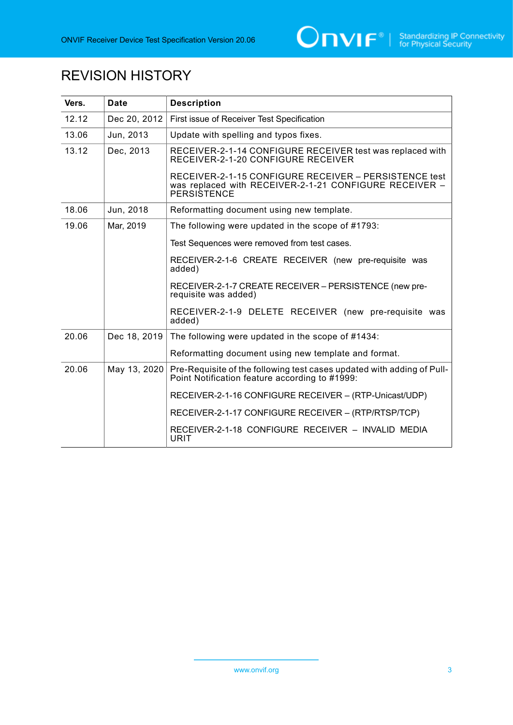

# REVISION HISTORY

| Vers. | Date         | <b>Description</b>                                                                                                             |
|-------|--------------|--------------------------------------------------------------------------------------------------------------------------------|
| 12.12 | Dec 20, 2012 | First issue of Receiver Test Specification                                                                                     |
| 13.06 | Jun, 2013    | Update with spelling and typos fixes.                                                                                          |
| 13.12 | Dec, 2013    | RECEIVER-2-1-14 CONFIGURE RECEIVER test was replaced with<br>RECEIVER-2-1-20 CONFIGURE RECEIVER                                |
|       |              | RECEIVER-2-1-15 CONFIGURE RECEIVER - PERSISTENCE test<br>was replaced with RECEIVER-2-1-21 CONFIGURE RECEIVER -<br>PERSISTENCE |
| 18.06 | Jun, 2018    | Reformatting document using new template.                                                                                      |
| 19.06 | Mar, 2019    | The following were updated in the scope of #1793:                                                                              |
|       |              | Test Sequences were removed from test cases.                                                                                   |
|       |              | RECEIVER-2-1-6 CREATE RECEIVER (new pre-requisite was<br>added)                                                                |
|       |              | RECEIVER-2-1-7 CREATE RECEIVER - PERSISTENCE (new pre-<br>requisite was added)                                                 |
|       |              | RECEIVER-2-1-9 DELETE RECEIVER (new pre-requisite was<br>added)                                                                |
| 20.06 | Dec 18, 2019 | The following were updated in the scope of #1434:                                                                              |
|       |              | Reformatting document using new template and format.                                                                           |
| 20.06 | May 13, 2020 | Pre-Requisite of the following test cases updated with adding of Pull-<br>Point Notification feature according to #1999:       |
|       |              | RECEIVER-2-1-16 CONFIGURE RECEIVER - (RTP-Unicast/UDP)                                                                         |
|       |              | RECEIVER-2-1-17 CONFIGURE RECEIVER - (RTP/RTSP/TCP)                                                                            |
|       |              | RECEIVER-2-1-18 CONFIGURE RECEIVER - INVALID MEDIA<br><b>URIT</b>                                                              |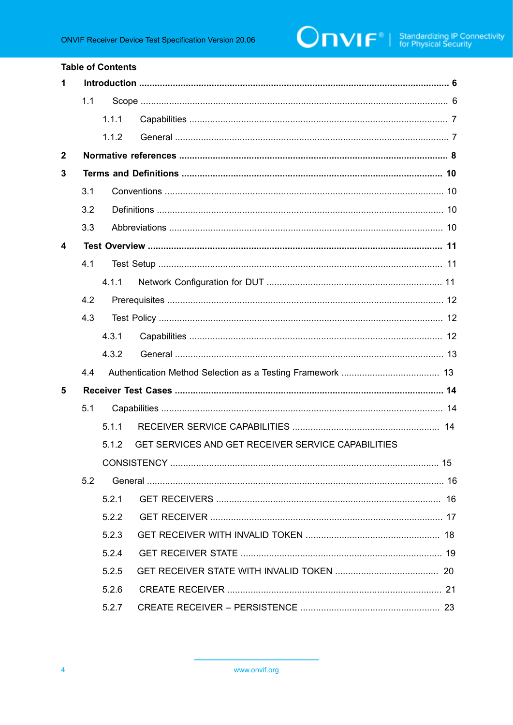#### **Table of Contents**

| 1            |     |       |                                                    |  |  |  |
|--------------|-----|-------|----------------------------------------------------|--|--|--|
|              | 1.1 |       |                                                    |  |  |  |
|              |     | 1.1.1 |                                                    |  |  |  |
|              |     | 1.1.2 |                                                    |  |  |  |
| $\mathbf{2}$ |     |       |                                                    |  |  |  |
| 3            |     |       |                                                    |  |  |  |
|              | 3.1 |       |                                                    |  |  |  |
|              | 3.2 |       |                                                    |  |  |  |
|              | 3.3 |       |                                                    |  |  |  |
| 4            |     |       |                                                    |  |  |  |
|              | 4.1 |       |                                                    |  |  |  |
|              |     | 4.1.1 |                                                    |  |  |  |
|              | 4.2 |       |                                                    |  |  |  |
|              | 4.3 |       |                                                    |  |  |  |
|              |     | 4.3.1 |                                                    |  |  |  |
|              |     | 4.3.2 |                                                    |  |  |  |
|              | 4.4 |       |                                                    |  |  |  |
| 5            |     |       |                                                    |  |  |  |
|              | 5.1 |       |                                                    |  |  |  |
|              |     | 5.1.1 |                                                    |  |  |  |
|              |     | 5.1.2 | GET SERVICES AND GET RECEIVER SERVICE CAPABILITIES |  |  |  |
|              |     |       |                                                    |  |  |  |
|              | 5.2 |       |                                                    |  |  |  |
|              |     | 5.2.1 |                                                    |  |  |  |
|              |     | 5.2.2 |                                                    |  |  |  |
|              |     | 5.2.3 |                                                    |  |  |  |
|              |     | 5.2.4 |                                                    |  |  |  |
|              |     | 5.2.5 |                                                    |  |  |  |
|              |     | 5.2.6 |                                                    |  |  |  |
|              |     | 5.2.7 |                                                    |  |  |  |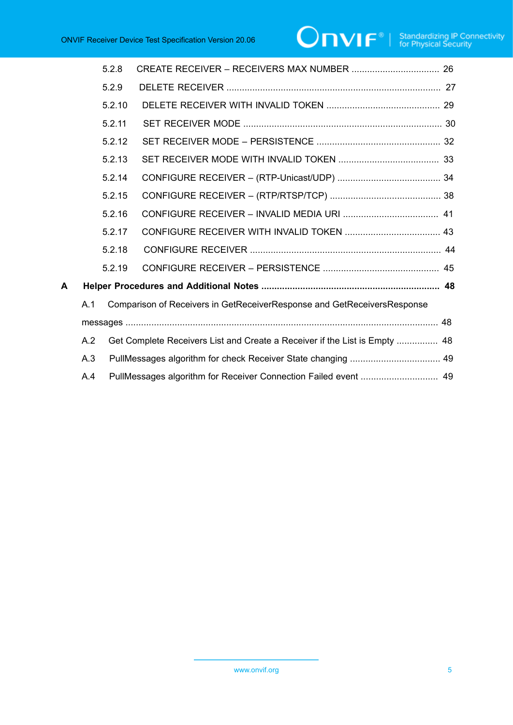|   |                                                                                | 5.2.8                                                                      |  |  |
|---|--------------------------------------------------------------------------------|----------------------------------------------------------------------------|--|--|
|   |                                                                                | 5.2.9                                                                      |  |  |
|   |                                                                                | 5.2.10                                                                     |  |  |
|   |                                                                                | 5.2.11                                                                     |  |  |
|   |                                                                                | 5.2.12                                                                     |  |  |
|   |                                                                                | 5.2.13                                                                     |  |  |
|   |                                                                                | 5.2.14                                                                     |  |  |
|   |                                                                                | 5.2.15                                                                     |  |  |
|   |                                                                                | 5.2.16                                                                     |  |  |
|   |                                                                                | 5.2.17                                                                     |  |  |
|   |                                                                                | 5.2.18                                                                     |  |  |
|   |                                                                                | 5.2.19                                                                     |  |  |
| A |                                                                                |                                                                            |  |  |
|   | Comparison of Receivers in GetReceiverResponse and GetReceiversResponse<br>A.1 |                                                                            |  |  |
|   |                                                                                |                                                                            |  |  |
|   | A.2                                                                            | Get Complete Receivers List and Create a Receiver if the List is Empty  48 |  |  |
|   | A.3                                                                            |                                                                            |  |  |
|   | A.4                                                                            |                                                                            |  |  |

www.onvif.org 5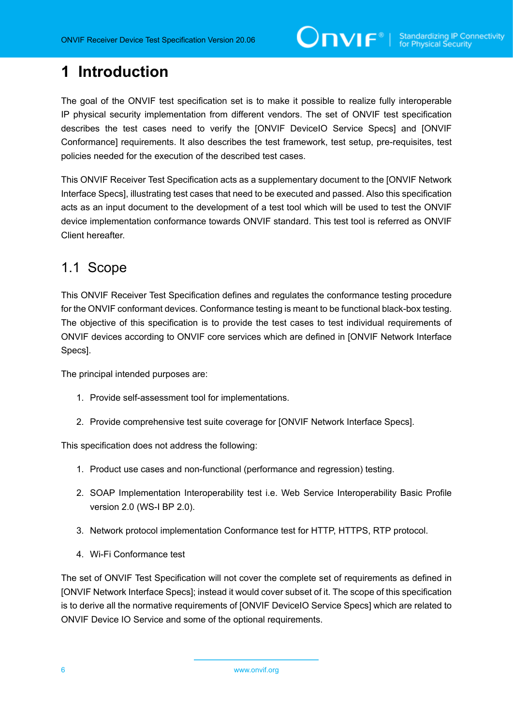# <span id="page-5-0"></span>**1 Introduction**

The goal of the ONVIF test specification set is to make it possible to realize fully interoperable IP physical security implementation from different vendors. The set of ONVIF test specification describes the test cases need to verify the [ONVIF DeviceIO Service Specs] and [ONVIF Conformance] requirements. It also describes the test framework, test setup, pre-requisites, test policies needed for the execution of the described test cases.

This ONVIF Receiver Test Specification acts as a supplementary document to the [ONVIF Network Interface Specs], illustrating test cases that need to be executed and passed. Also this specification acts as an input document to the development of a test tool which will be used to test the ONVIF device implementation conformance towards ONVIF standard. This test tool is referred as ONVIF Client hereafter.

### <span id="page-5-1"></span>1.1 Scope

This ONVIF Receiver Test Specification defines and regulates the conformance testing procedure for the ONVIF conformant devices. Conformance testing is meant to be functional black-box testing. The objective of this specification is to provide the test cases to test individual requirements of ONVIF devices according to ONVIF core services which are defined in [ONVIF Network Interface Specs].

The principal intended purposes are:

- 1. Provide self-assessment tool for implementations.
- 2. Provide comprehensive test suite coverage for [ONVIF Network Interface Specs].

This specification does not address the following:

- 1. Product use cases and non-functional (performance and regression) testing.
- 2. SOAP Implementation Interoperability test i.e. Web Service Interoperability Basic Profile version 2.0 (WS-I BP 2.0).
- 3. Network protocol implementation Conformance test for HTTP, HTTPS, RTP protocol.
- 4. Wi-Fi Conformance test

The set of ONVIF Test Specification will not cover the complete set of requirements as defined in [ONVIF Network Interface Specs]; instead it would cover subset of it. The scope of this specification is to derive all the normative requirements of [ONVIF DeviceIO Service Specs] which are related to ONVIF Device IO Service and some of the optional requirements.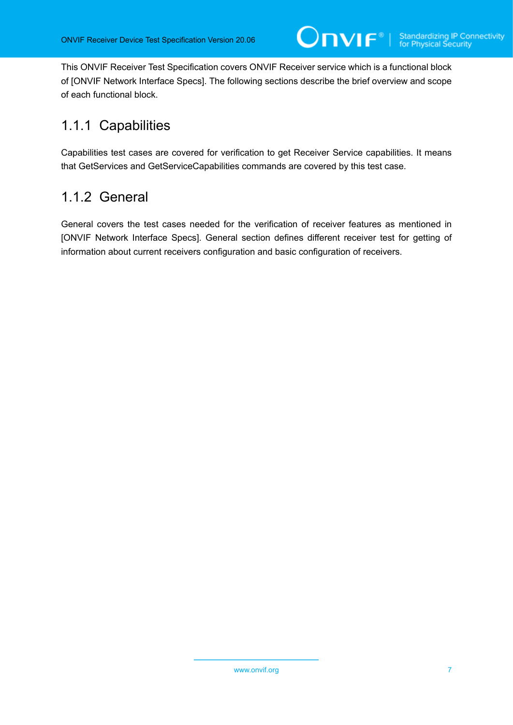This ONVIF Receiver Test Specification covers ONVIF Receiver service which is a functional block of [ONVIF Network Interface Specs]. The following sections describe the brief overview and scope of each functional block.

### <span id="page-6-0"></span>1.1.1 Capabilities

Capabilities test cases are covered for verification to get Receiver Service capabilities. It means that GetServices and GetServiceCapabilities commands are covered by this test case.

### <span id="page-6-1"></span>1.1.2 General

General covers the test cases needed for the verification of receiver features as mentioned in [ONVIF Network Interface Specs]. General section defines different receiver test for getting of information about current receivers configuration and basic configuration of receivers.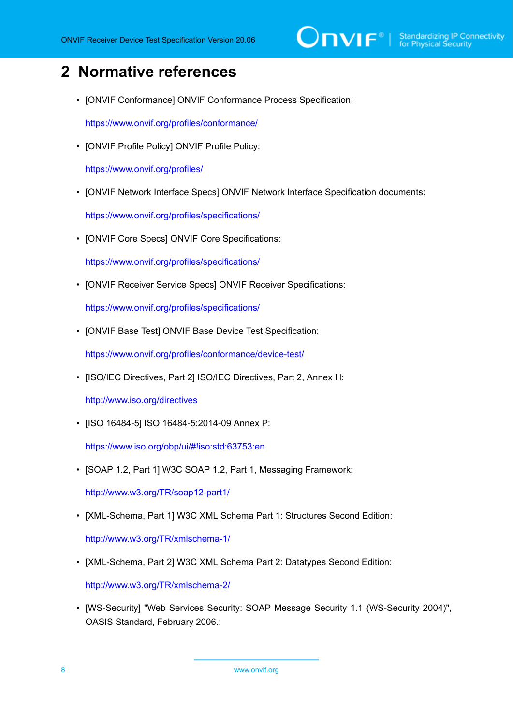# $\sum_{\text{ref}}$   $\sum_{\text{ref}}$   $\sum_{\text{ref}}$  Standardizing IP Connectivity

## <span id="page-7-0"></span>**2 Normative references**

• [ONVIF Conformance] ONVIF Conformance Process Specification:

<https://www.onvif.org/profiles/conformance/>

• [ONVIF Profile Policy] ONVIF Profile Policy:

<https://www.onvif.org/profiles/>

• [ONVIF Network Interface Specs] ONVIF Network Interface Specification documents:

<https://www.onvif.org/profiles/specifications/>

• [ONVIF Core Specs] ONVIF Core Specifications:

<https://www.onvif.org/profiles/specifications/>

• [ONVIF Receiver Service Specs] ONVIF Receiver Specifications:

<https://www.onvif.org/profiles/specifications/>

• [ONVIF Base Test] ONVIF Base Device Test Specification:

<https://www.onvif.org/profiles/conformance/device-test/>

• [ISO/IEC Directives, Part 2] ISO/IEC Directives, Part 2, Annex H:

<http://www.iso.org/directives>

• [ISO 16484-5] ISO 16484-5:2014-09 Annex P:

<https://www.iso.org/obp/ui/#!iso:std:63753:en>

• [SOAP 1.2, Part 1] W3C SOAP 1.2, Part 1, Messaging Framework:

<http://www.w3.org/TR/soap12-part1/>

• [XML-Schema, Part 1] W3C XML Schema Part 1: Structures Second Edition:

<http://www.w3.org/TR/xmlschema-1/>

• [XML-Schema, Part 2] W3C XML Schema Part 2: Datatypes Second Edition:

<http://www.w3.org/TR/xmlschema-2/>

• [WS-Security] "Web Services Security: SOAP Message Security 1.1 (WS-Security 2004)", OASIS Standard, February 2006.: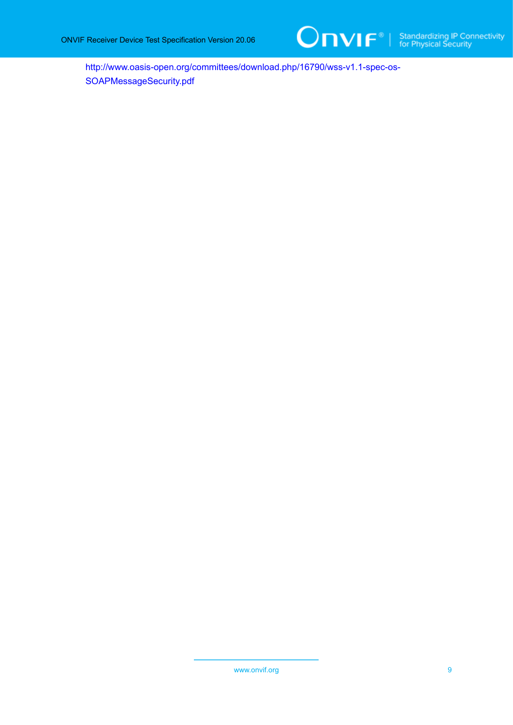

[http://www.oasis-open.org/committees/download.php/16790/wss-v1.1-spec-os-](http://www.oasis-open.org/committees/download.php/16790/wss-v1.1-spec-os-SOAPMessageSecurity.pdf)[SOAPMessageSecurity.pdf](http://www.oasis-open.org/committees/download.php/16790/wss-v1.1-spec-os-SOAPMessageSecurity.pdf)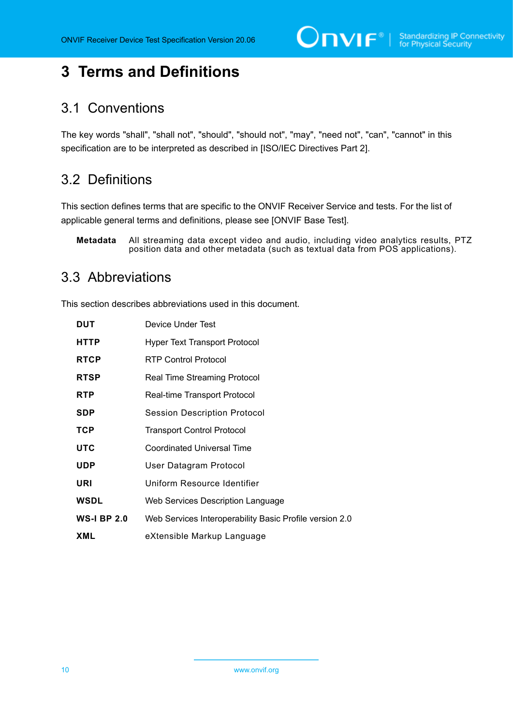$\bigcirc$   $\mathbf{N}$   $\mathbf{F}^{\text{d}}$   $\mid$  Standardizing IP Connectivity

## <span id="page-9-0"></span>**3 Terms and Definitions**

### <span id="page-9-1"></span>3.1 Conventions

The key words "shall", "shall not", "should", "should not", "may", "need not", "can", "cannot" in this specification are to be interpreted as described in [ISO/IEC Directives Part 2].

### <span id="page-9-2"></span>3.2 Definitions

This section defines terms that are specific to the ONVIF Receiver Service and tests. For the list of applicable general terms and definitions, please see [ONVIF Base Test].

**Metadata** All streaming data except video and audio, including video analytics results, PTZ position data and other metadata (such as textual data from POS applications).

### <span id="page-9-3"></span>3.3 Abbreviations

This section describes abbreviations used in this document.

| <b>DUT</b>         | Device Under Test                                       |
|--------------------|---------------------------------------------------------|
| <b>HTTP</b>        | <b>Hyper Text Transport Protocol</b>                    |
| <b>RTCP</b>        | <b>RTP Control Protocol</b>                             |
| <b>RTSP</b>        | <b>Real Time Streaming Protocol</b>                     |
| <b>RTP</b>         | Real-time Transport Protocol                            |
| <b>SDP</b>         | <b>Session Description Protocol</b>                     |
| <b>TCP</b>         | <b>Transport Control Protocol</b>                       |
| <b>UTC</b>         | Coordinated Universal Time                              |
| <b>UDP</b>         | User Datagram Protocol                                  |
| URI                | Uniform Resource Identifier                             |
| <b>WSDL</b>        | Web Services Description Language                       |
| <b>WS-I BP 2.0</b> | Web Services Interoperability Basic Profile version 2.0 |
| <b>XML</b>         | eXtensible Markup Language                              |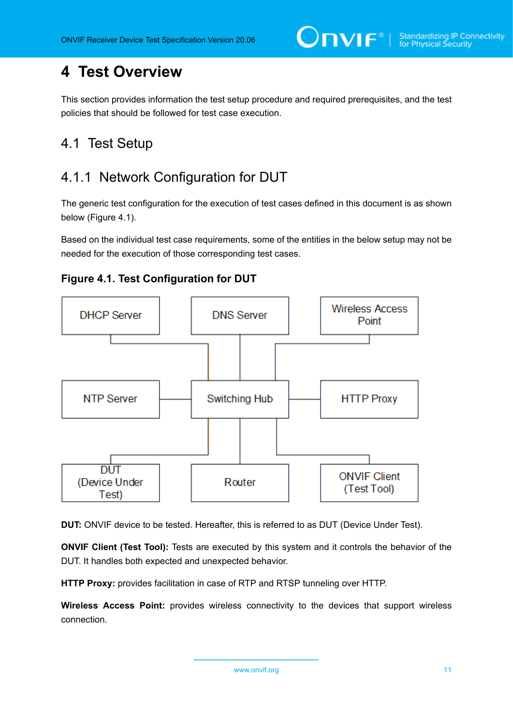# <span id="page-10-0"></span>**4 Test Overview**

This section provides information the test setup procedure and required prerequisites, and the test policies that should be followed for test case execution.

### <span id="page-10-1"></span>4.1 Test Setup

### <span id="page-10-2"></span>4.1.1 Network Configuration for DUT

The generic test configuration for the execution of test cases defined in this document is as shown below (Figure 4.1).

Based on the individual test case requirements, some of the entities in the below setup may not be needed for the execution of those corresponding test cases.





**DUT:** ONVIF device to be tested. Hereafter, this is referred to as DUT (Device Under Test).

**ONVIF Client (Test Tool):** Tests are executed by this system and it controls the behavior of the DUT. It handles both expected and unexpected behavior.

**HTTP Proxy:** provides facilitation in case of RTP and RTSP tunneling over HTTP.

**Wireless Access Point:** provides wireless connectivity to the devices that support wireless connection.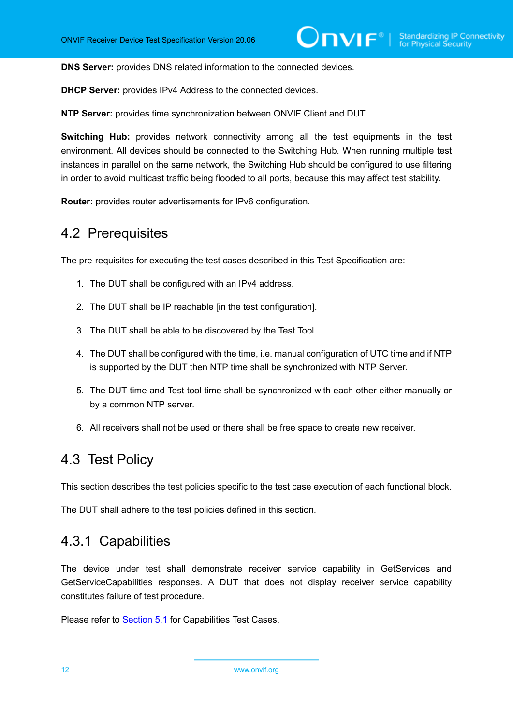**DNS Server:** provides DNS related information to the connected devices.

**DHCP Server:** provides IPv4 Address to the connected devices.

**NTP Server:** provides time synchronization between ONVIF Client and DUT.

**Switching Hub:** provides network connectivity among all the test equipments in the test environment. All devices should be connected to the Switching Hub. When running multiple test instances in parallel on the same network, the Switching Hub should be configured to use filtering in order to avoid multicast traffic being flooded to all ports, because this may affect test stability.

<span id="page-11-0"></span>**Router:** provides router advertisements for IPv6 configuration.

### 4.2 Prerequisites

The pre-requisites for executing the test cases described in this Test Specification are:

- 1. The DUT shall be configured with an IPv4 address.
- 2. The DUT shall be IP reachable [in the test configuration].
- 3. The DUT shall be able to be discovered by the Test Tool.
- 4. The DUT shall be configured with the time, i.e. manual configuration of UTC time and if NTP is supported by the DUT then NTP time shall be synchronized with NTP Server.
- 5. The DUT time and Test tool time shall be synchronized with each other either manually or by a common NTP server.
- 6. All receivers shall not be used or there shall be free space to create new receiver.

### <span id="page-11-1"></span>4.3 Test Policy

This section describes the test policies specific to the test case execution of each functional block.

<span id="page-11-2"></span>The DUT shall adhere to the test policies defined in this section.

### 4.3.1 Capabilities

The device under test shall demonstrate receiver service capability in GetServices and GetServiceCapabilities responses. A DUT that does not display receiver service capability constitutes failure of test procedure.

Please refer to [Section 5.1](#page-13-1) for Capabilities Test Cases.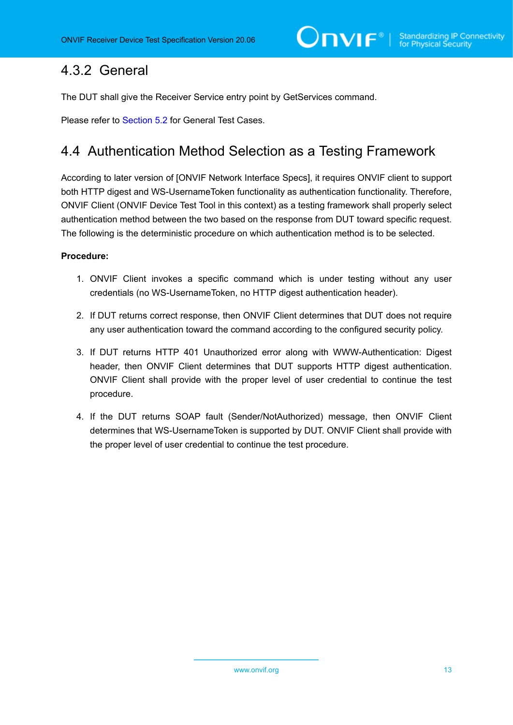### <span id="page-12-0"></span>4.3.2 General

The DUT shall give the Receiver Service entry point by GetServices command.

<span id="page-12-1"></span>Please refer to [Section 5.2](#page-15-0) for General Test Cases.

### 4.4 Authentication Method Selection as a Testing Framework

According to later version of [ONVIF Network Interface Specs], it requires ONVIF client to support both HTTP digest and WS-UsernameToken functionality as authentication functionality. Therefore, ONVIF Client (ONVIF Device Test Tool in this context) as a testing framework shall properly select authentication method between the two based on the response from DUT toward specific request. The following is the deterministic procedure on which authentication method is to be selected.

#### **Procedure:**

- 1. ONVIF Client invokes a specific command which is under testing without any user credentials (no WS-UsernameToken, no HTTP digest authentication header).
- 2. If DUT returns correct response, then ONVIF Client determines that DUT does not require any user authentication toward the command according to the configured security policy.
- 3. If DUT returns HTTP 401 Unauthorized error along with WWW-Authentication: Digest header, then ONVIF Client determines that DUT supports HTTP digest authentication. ONVIF Client shall provide with the proper level of user credential to continue the test procedure.
- 4. If the DUT returns SOAP fault (Sender/NotAuthorized) message, then ONVIF Client determines that WS-UsernameToken is supported by DUT. ONVIF Client shall provide with the proper level of user credential to continue the test procedure.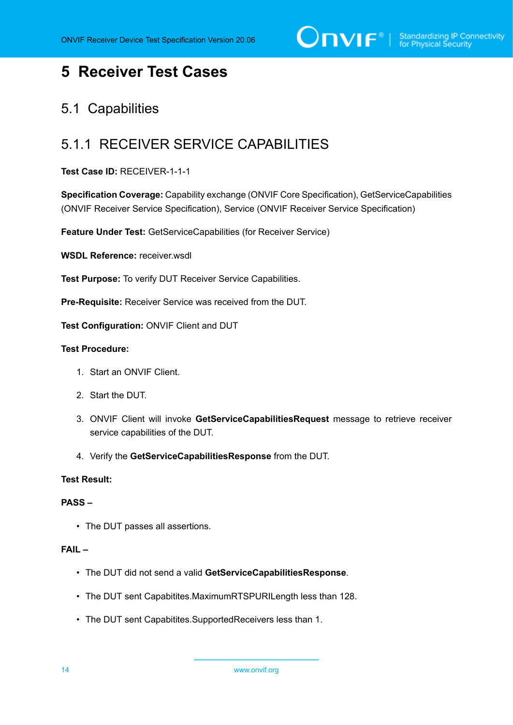$\bigcirc$   $\bigcap$   $\bigvee$   $\bigcirc$   $\bigcirc$   $\bigcirc$   $\bigcirc$   $\bigcirc$   $\bigcirc$   $\bigcirc$   $\bigcirc$   $\bigcirc$   $\bigcirc$   $\bigcirc$   $\bigcirc$   $\bigcirc$   $\bigcirc$   $\bigcirc$   $\bigcirc$   $\bigcirc$   $\bigcirc$   $\bigcirc$   $\bigcirc$   $\bigcirc$   $\bigcirc$   $\bigcirc$   $\bigcirc$   $\bigcirc$   $\bigcirc$   $\bigcirc$   $\bigcirc$   $\bigcirc$   $\bigcirc$   $\bigcirc$   $\bigcirc$   $\bigcirc$   $\bigcirc$ 

### <span id="page-13-0"></span>**5 Receiver Test Cases**

### <span id="page-13-1"></span>5.1 Capabilities

### <span id="page-13-2"></span>5.1.1 RECEIVER SERVICE CAPABILITIES

**Test Case ID:** RECEIVER-1-1-1

**Specification Coverage:** Capability exchange (ONVIF Core Specification), GetServiceCapabilities (ONVIF Receiver Service Specification), Service (ONVIF Receiver Service Specification)

**Feature Under Test:** GetServiceCapabilities (for Receiver Service)

**WSDL Reference:** receiver.wsdl

**Test Purpose:** To verify DUT Receiver Service Capabilities.

**Pre-Requisite:** Receiver Service was received from the DUT.

**Test Configuration:** ONVIF Client and DUT

#### **Test Procedure:**

- 1. Start an ONVIF Client.
- 2. Start the DUT.
- 3. ONVIF Client will invoke **GetServiceCapabilitiesRequest** message to retrieve receiver service capabilities of the DUT.
- 4. Verify the **GetServiceCapabilitiesResponse** from the DUT.

#### **Test Result:**

#### **PASS –**

• The DUT passes all assertions.

#### **FAIL –**

- The DUT did not send a valid **GetServiceCapabilitiesResponse**.
- The DUT sent Capabitites.MaximumRTSPURILength less than 128.
- The DUT sent Capabitites.SupportedReceivers less than 1.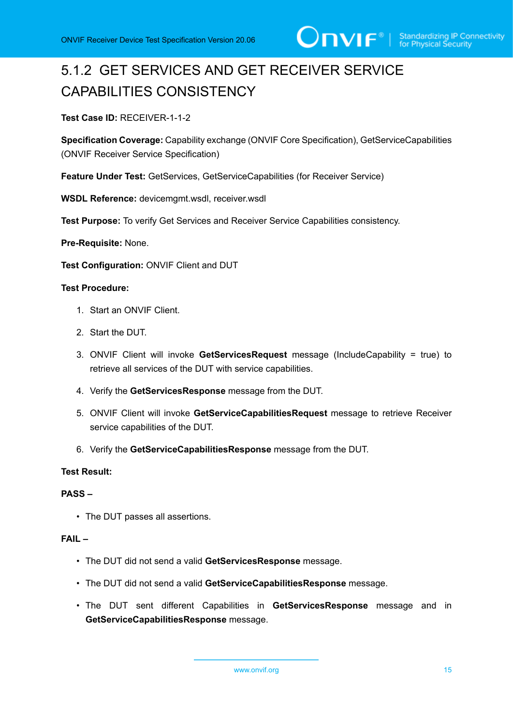

# <span id="page-14-0"></span>5.1.2 GET SERVICES AND GET RECEIVER SERVICE CAPABILITIES CONSISTENCY

#### **Test Case ID:** RECEIVER-1-1-2

**Specification Coverage:** Capability exchange (ONVIF Core Specification), GetServiceCapabilities (ONVIF Receiver Service Specification)

**Feature Under Test:** GetServices, GetServiceCapabilities (for Receiver Service)

**WSDL Reference:** devicemgmt.wsdl, receiver.wsdl

**Test Purpose:** To verify Get Services and Receiver Service Capabilities consistency.

**Pre-Requisite:** None.

**Test Configuration:** ONVIF Client and DUT

#### **Test Procedure:**

- 1. Start an ONVIF Client.
- 2. Start the DUT.
- 3. ONVIF Client will invoke **GetServicesRequest** message (IncludeCapability = true) to retrieve all services of the DUT with service capabilities.
- 4. Verify the **GetServicesResponse** message from the DUT.
- 5. ONVIF Client will invoke **GetServiceCapabilitiesRequest** message to retrieve Receiver service capabilities of the DUT.
- 6. Verify the **GetServiceCapabilitiesResponse** message from the DUT.

#### **Test Result:**

#### **PASS –**

• The DUT passes all assertions.

#### **FAIL –**

- The DUT did not send a valid **GetServicesResponse** message.
- The DUT did not send a valid **GetServiceCapabilitiesResponse** message.
- The DUT sent different Capabilities in **GetServicesResponse** message and in **GetServiceCapabilitiesResponse** message.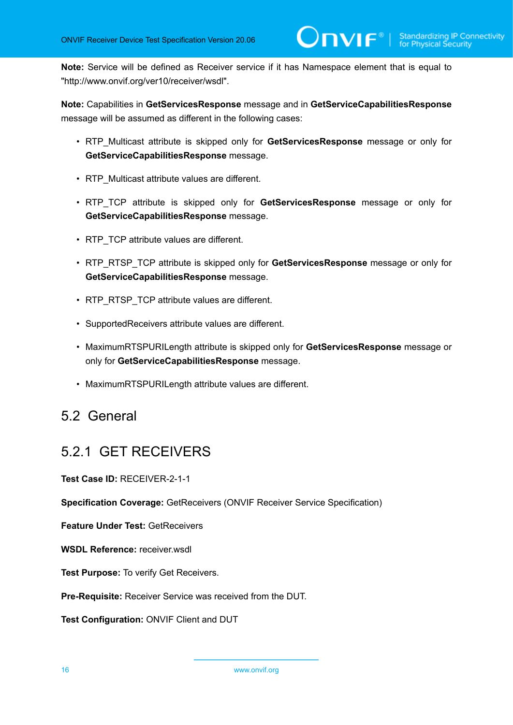**Note:** Service will be defined as Receiver service if it has Namespace element that is equal to "http://www.onvif.org/ver10/receiver/wsdl".

**Note:** Capabilities in **GetServicesResponse** message and in **GetServiceCapabilitiesResponse** message will be assumed as different in the following cases:

- RTP\_Multicast attribute is skipped only for **GetServicesResponse** message or only for **GetServiceCapabilitiesResponse** message.
- RTP Multicast attribute values are different.
- RTP\_TCP attribute is skipped only for **GetServicesResponse** message or only for **GetServiceCapabilitiesResponse** message.
- RTP TCP attribute values are different.
- RTP\_RTSP\_TCP attribute is skipped only for **GetServicesResponse** message or only for **GetServiceCapabilitiesResponse** message.
- RTP\_RTSP\_TCP attribute values are different.
- SupportedReceivers attribute values are different.
- MaximumRTSPURILength attribute is skipped only for **GetServicesResponse** message or only for **GetServiceCapabilitiesResponse** message.
- MaximumRTSPURILength attribute values are different.

### <span id="page-15-0"></span>5.2 General

### <span id="page-15-1"></span>5.2.1 GET RECEIVERS

**Test Case ID:** RECEIVER-2-1-1

**Specification Coverage:** GetReceivers (ONVIF Receiver Service Specification)

**Feature Under Test:** GetReceivers

**WSDL Reference:** receiver.wsdl

**Test Purpose:** To verify Get Receivers.

**Pre-Requisite:** Receiver Service was received from the DUT.

**Test Configuration:** ONVIF Client and DUT

16 www.onvif.org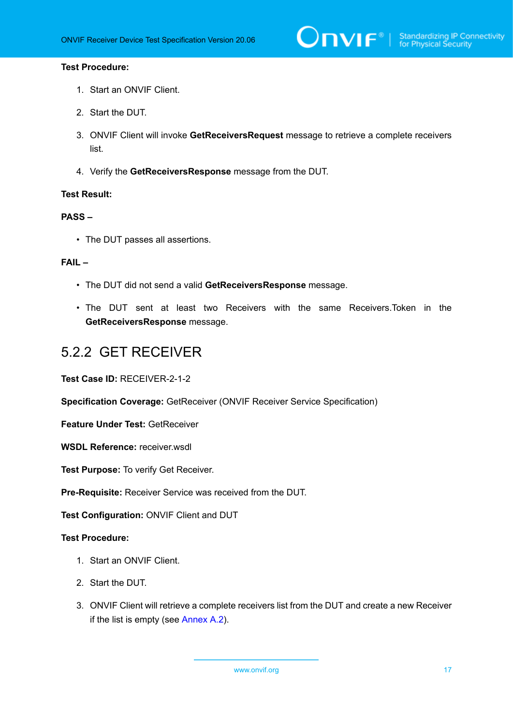#### **Test Procedure:**

- 1. Start an ONVIF Client.
- 2. Start the DUT.
- 3. ONVIF Client will invoke **GetReceiversRequest** message to retrieve a complete receivers list.
- 4. Verify the **GetReceiversResponse** message from the DUT.

#### **Test Result:**

#### **PASS –**

• The DUT passes all assertions.

#### **FAIL –**

- The DUT did not send a valid **GetReceiversResponse** message.
- The DUT sent at least two Receivers with the same Receivers.Token in the **GetReceiversResponse** message.

### <span id="page-16-0"></span>5.2.2 GET RECEIVER

**Test Case ID:** RECEIVER-2-1-2

**Specification Coverage:** GetReceiver (ONVIF Receiver Service Specification)

**Feature Under Test:** GetReceiver

**WSDL Reference:** receiver.wsdl

**Test Purpose:** To verify Get Receiver.

**Pre-Requisite:** Receiver Service was received from the DUT.

**Test Configuration:** ONVIF Client and DUT

- 1. Start an ONVIF Client.
- 2. Start the DUT.
- 3. ONVIF Client will retrieve a complete receivers list from the DUT and create a new Receiver if the list is empty (see [Annex A.2\)](#page-47-2).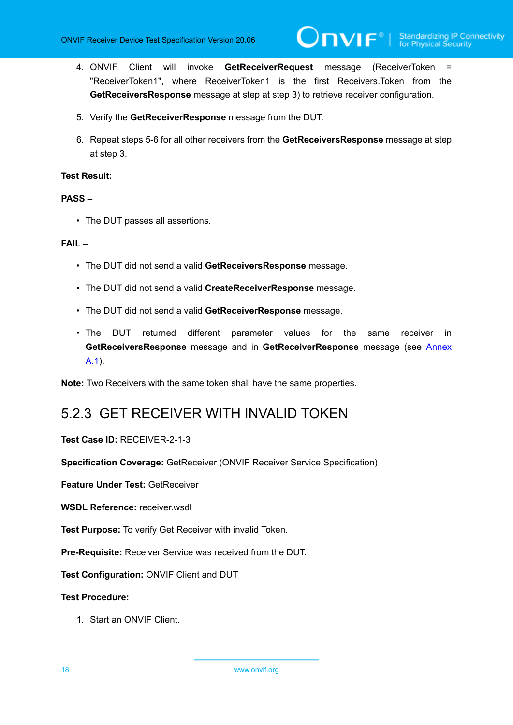4. ONVIF Client will invoke **GetReceiverRequest** message (ReceiverToken = "ReceiverToken1", where ReceiverToken1 is the first Receivers.Token from the **GetReceiversResponse** message at step at step 3) to retrieve receiver configuration.

 $\mathsf{D}\mathbf{N}\mathsf{I}\mathsf{F}^*$ l

- 5. Verify the **GetReceiverResponse** message from the DUT.
- 6. Repeat steps 5-6 for all other receivers from the **GetReceiversResponse** message at step at step 3.

#### **Test Result:**

#### **PASS –**

• The DUT passes all assertions.

#### **FAIL –**

- The DUT did not send a valid **GetReceiversResponse** message.
- The DUT did not send a valid **CreateReceiverResponse** message.
- The DUT did not send a valid **GetReceiverResponse** message.
- The DUT returned different parameter values for the same receiver in **GetReceiversResponse** message and in **GetReceiverResponse** message (see [Annex](#page-47-1) [A.1\)](#page-47-1).

<span id="page-17-0"></span>**Note:** Two Receivers with the same token shall have the same properties.

### 5.2.3 GET RECEIVER WITH INVALID TOKEN

#### **Test Case ID:** RECEIVER-2-1-3

**Specification Coverage:** GetReceiver (ONVIF Receiver Service Specification)

**Feature Under Test:** GetReceiver

**WSDL Reference:** receiver.wsdl

**Test Purpose:** To verify Get Receiver with invalid Token.

**Pre-Requisite:** Receiver Service was received from the DUT.

**Test Configuration:** ONVIF Client and DUT

#### **Test Procedure:**

1. Start an ONVIF Client.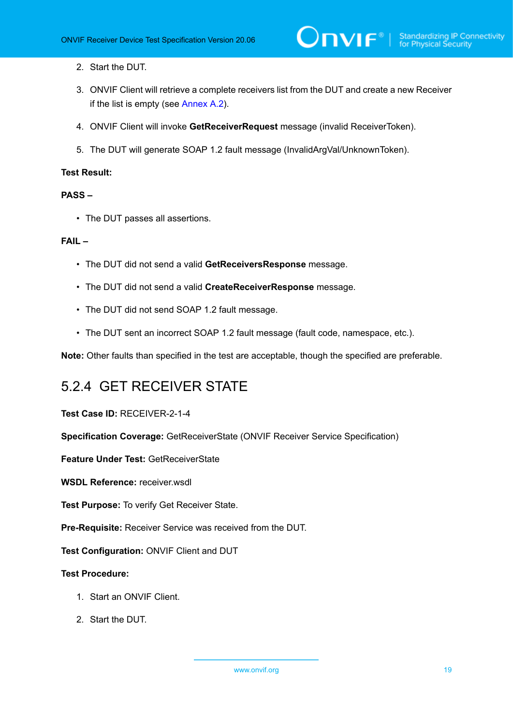- 2. Start the DUT.
- 3. ONVIF Client will retrieve a complete receivers list from the DUT and create a new Receiver if the list is empty (see [Annex A.2\)](#page-47-2).
- 4. ONVIF Client will invoke **GetReceiverRequest** message (invalid ReceiverToken).
- 5. The DUT will generate SOAP 1.2 fault message (InvalidArgVal/UnknownToken).

#### **PASS –**

• The DUT passes all assertions.

#### **FAIL –**

- The DUT did not send a valid **GetReceiversResponse** message.
- The DUT did not send a valid **CreateReceiverResponse** message.
- The DUT did not send SOAP 1.2 fault message.
- The DUT sent an incorrect SOAP 1.2 fault message (fault code, namespace, etc.).

<span id="page-18-0"></span>**Note:** Other faults than specified in the test are acceptable, though the specified are preferable.

### 5.2.4 GET RECEIVER STATE

**Test Case ID:** RECEIVER-2-1-4

**Specification Coverage:** GetReceiverState (ONVIF Receiver Service Specification)

**Feature Under Test:** GetReceiverState

**WSDL Reference:** receiver.wsdl

**Test Purpose:** To verify Get Receiver State.

**Pre-Requisite:** Receiver Service was received from the DUT.

**Test Configuration:** ONVIF Client and DUT

- 1. Start an ONVIF Client.
- 2. Start the DUT.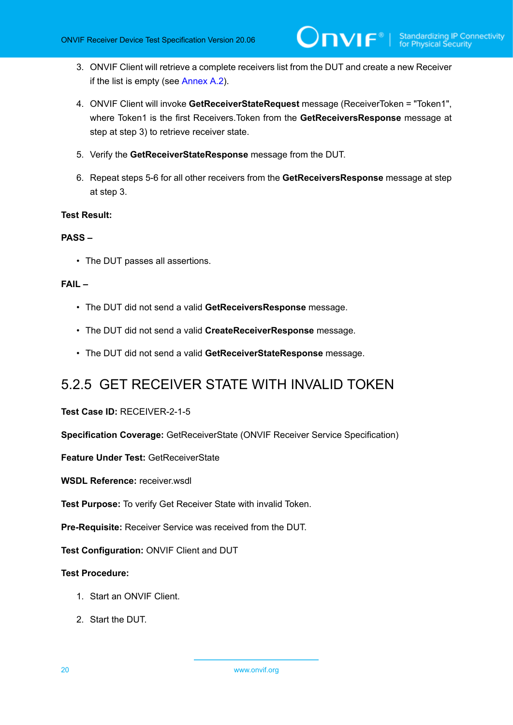- 3. ONVIF Client will retrieve a complete receivers list from the DUT and create a new Receiver if the list is empty (see [Annex A.2\)](#page-47-2).
- 4. ONVIF Client will invoke **GetReceiverStateRequest** message (ReceiverToken = "Token1", where Token1 is the first Receivers.Token from the **GetReceiversResponse** message at step at step 3) to retrieve receiver state.
- 5. Verify the **GetReceiverStateResponse** message from the DUT.
- 6. Repeat steps 5-6 for all other receivers from the **GetReceiversResponse** message at step at step 3.

#### **PASS –**

• The DUT passes all assertions.

#### **FAIL –**

- The DUT did not send a valid **GetReceiversResponse** message.
- The DUT did not send a valid **CreateReceiverResponse** message.
- The DUT did not send a valid **GetReceiverStateResponse** message.

### <span id="page-19-0"></span>5.2.5 GET RECEIVER STATE WITH INVALID TOKEN

#### **Test Case ID:** RECEIVER-2-1-5

**Specification Coverage:** GetReceiverState (ONVIF Receiver Service Specification)

**Feature Under Test:** GetReceiverState

**WSDL Reference:** receiver.wsdl

**Test Purpose:** To verify Get Receiver State with invalid Token.

**Pre-Requisite:** Receiver Service was received from the DUT.

**Test Configuration:** ONVIF Client and DUT

- 1. Start an ONVIF Client.
- 2. Start the DUT.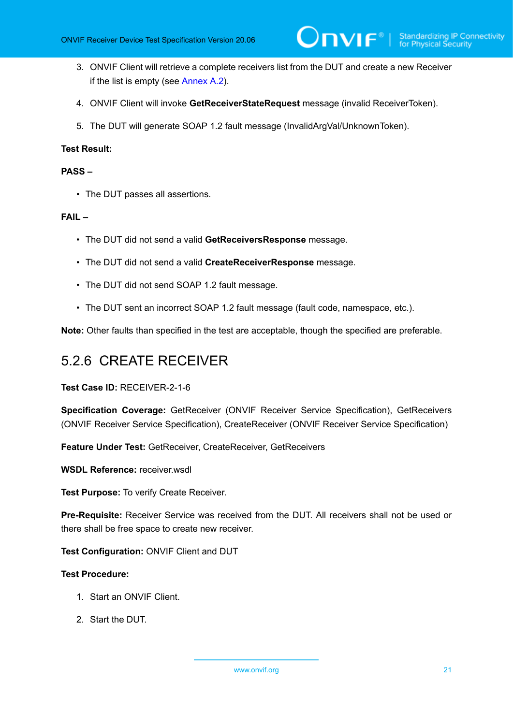- 3. ONVIF Client will retrieve a complete receivers list from the DUT and create a new Receiver if the list is empty (see [Annex A.2\)](#page-47-2).
- 4. ONVIF Client will invoke **GetReceiverStateRequest** message (invalid ReceiverToken).
- 5. The DUT will generate SOAP 1.2 fault message (InvalidArgVal/UnknownToken).

#### **PASS –**

• The DUT passes all assertions.

#### **FAIL –**

- The DUT did not send a valid **GetReceiversResponse** message.
- The DUT did not send a valid **CreateReceiverResponse** message.
- The DUT did not send SOAP 1.2 fault message.
- The DUT sent an incorrect SOAP 1.2 fault message (fault code, namespace, etc.).

<span id="page-20-0"></span>**Note:** Other faults than specified in the test are acceptable, though the specified are preferable.

### 5.2.6 CREATE RECEIVER

**Test Case ID:** RECEIVER-2-1-6

**Specification Coverage:** GetReceiver (ONVIF Receiver Service Specification), GetReceivers (ONVIF Receiver Service Specification), CreateReceiver (ONVIF Receiver Service Specification)

**Feature Under Test:** GetReceiver, CreateReceiver, GetReceivers

**WSDL Reference:** receiver wsdl.

**Test Purpose:** To verify Create Receiver.

**Pre-Requisite:** Receiver Service was received from the DUT. All receivers shall not be used or there shall be free space to create new receiver.

**Test Configuration:** ONVIF Client and DUT

- 1. Start an ONVIF Client.
- 2. Start the DUT.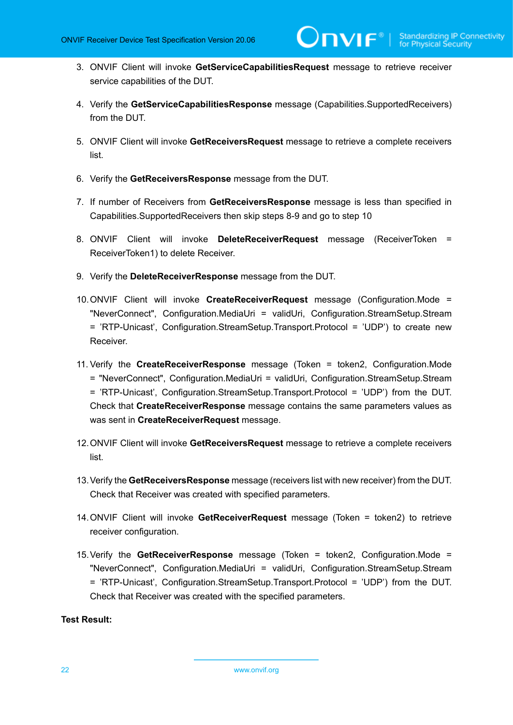- 3. ONVIF Client will invoke **GetServiceCapabilitiesRequest** message to retrieve receiver service capabilities of the DUT.
- 4. Verify the **GetServiceCapabilitiesResponse** message (Capabilities.SupportedReceivers) from the DUT.
- 5. ONVIF Client will invoke **GetReceiversRequest** message to retrieve a complete receivers list.
- 6. Verify the **GetReceiversResponse** message from the DUT.
- 7. If number of Receivers from **GetReceiversResponse** message is less than specified in Capabilities.SupportedReceivers then skip steps 8-9 and go to step 10
- 8. ONVIF Client will invoke **DeleteReceiverRequest** message (ReceiverToken = ReceiverToken1) to delete Receiver.
- 9. Verify the **DeleteReceiverResponse** message from the DUT.
- 10.ONVIF Client will invoke **CreateReceiverRequest** message (Configuration.Mode = "NeverConnect", Configuration.MediaUri = validUri, Configuration.StreamSetup.Stream = 'RTP-Unicast', Configuration.StreamSetup.Transport.Protocol = 'UDP') to create new Receiver.
- 11. Verify the **CreateReceiverResponse** message (Token = token2, Configuration.Mode = "NeverConnect", Configuration.MediaUri = validUri, Configuration.StreamSetup.Stream = 'RTP-Unicast', Configuration.StreamSetup.Transport.Protocol = 'UDP') from the DUT. Check that **CreateReceiverResponse** message contains the same parameters values as was sent in **CreateReceiverRequest** message.
- 12.ONVIF Client will invoke **GetReceiversRequest** message to retrieve a complete receivers list.
- 13.Verify the **GetReceiversResponse** message (receivers list with new receiver) from the DUT. Check that Receiver was created with specified parameters.
- 14.ONVIF Client will invoke **GetReceiverRequest** message (Token = token2) to retrieve receiver configuration.
- 15.Verify the **GetReceiverResponse** message (Token = token2, Configuration.Mode = "NeverConnect", Configuration.MediaUri = validUri, Configuration.StreamSetup.Stream = 'RTP-Unicast', Configuration.StreamSetup.Transport.Protocol = 'UDP') from the DUT. Check that Receiver was created with the specified parameters.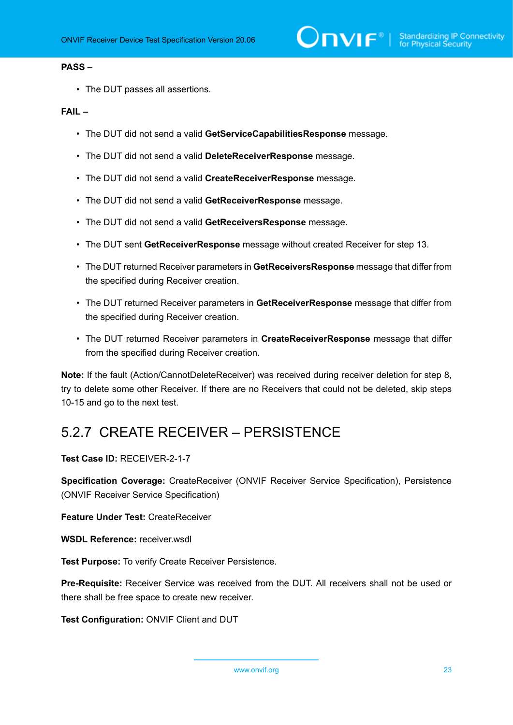#### **PASS –**

• The DUT passes all assertions.

#### **FAIL –**

- The DUT did not send a valid **GetServiceCapabilitiesResponse** message.
- The DUT did not send a valid **DeleteReceiverResponse** message.
- The DUT did not send a valid **CreateReceiverResponse** message.
- The DUT did not send a valid **GetReceiverResponse** message.
- The DUT did not send a valid **GetReceiversResponse** message.
- The DUT sent **GetReceiverResponse** message without created Receiver for step 13.
- The DUT returned Receiver parameters in **GetReceiversResponse** message that differ from the specified during Receiver creation.
- The DUT returned Receiver parameters in **GetReceiverResponse** message that differ from the specified during Receiver creation.
- The DUT returned Receiver parameters in **CreateReceiverResponse** message that differ from the specified during Receiver creation.

**Note:** If the fault (Action/CannotDeleteReceiver) was received during receiver deletion for step 8, try to delete some other Receiver. If there are no Receivers that could not be deleted, skip steps 10-15 and go to the next test.

### <span id="page-22-0"></span>5.2.7 CREATE RECEIVER – PERSISTENCE

**Test Case ID:** RECEIVER-2-1-7

**Specification Coverage:** CreateReceiver (ONVIF Receiver Service Specification), Persistence (ONVIF Receiver Service Specification)

**Feature Under Test:** CreateReceiver

**WSDL Reference:** receiver.wsdl

**Test Purpose:** To verify Create Receiver Persistence.

**Pre-Requisite:** Receiver Service was received from the DUT. All receivers shall not be used or there shall be free space to create new receiver.

**Test Configuration:** ONVIF Client and DUT

www.onvif.org 23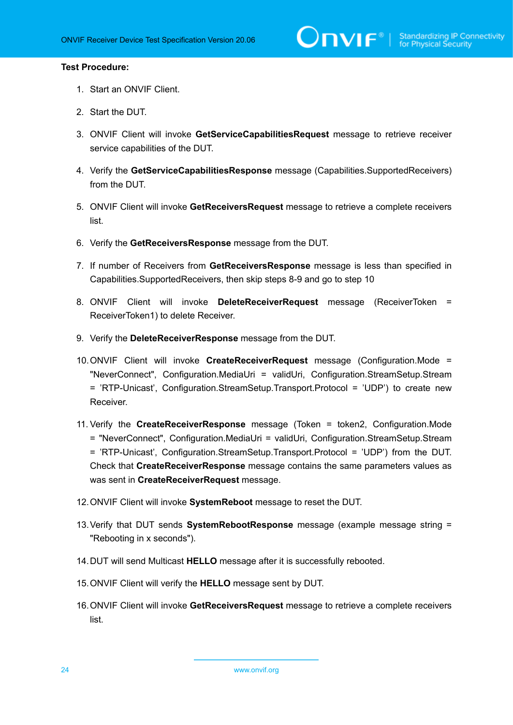- 1. Start an ONVIF Client.
- 2. Start the DUT.
- 3. ONVIF Client will invoke **GetServiceCapabilitiesRequest** message to retrieve receiver service capabilities of the DUT.
- 4. Verify the **GetServiceCapabilitiesResponse** message (Capabilities.SupportedReceivers) from the DUT.
- 5. ONVIF Client will invoke **GetReceiversRequest** message to retrieve a complete receivers list.
- 6. Verify the **GetReceiversResponse** message from the DUT.
- 7. If number of Receivers from **GetReceiversResponse** message is less than specified in Capabilities.SupportedReceivers, then skip steps 8-9 and go to step 10
- 8. ONVIF Client will invoke **DeleteReceiverRequest** message (ReceiverToken = ReceiverToken1) to delete Receiver.
- 9. Verify the **DeleteReceiverResponse** message from the DUT.
- 10.ONVIF Client will invoke **CreateReceiverRequest** message (Configuration.Mode = "NeverConnect", Configuration.MediaUri = validUri, Configuration.StreamSetup.Stream = 'RTP-Unicast', Configuration.StreamSetup.Transport.Protocol = 'UDP') to create new Receiver.
- 11. Verify the **CreateReceiverResponse** message (Token = token2, Configuration.Mode = "NeverConnect", Configuration.MediaUri = validUri, Configuration.StreamSetup.Stream = 'RTP-Unicast', Configuration.StreamSetup.Transport.Protocol = 'UDP') from the DUT. Check that **CreateReceiverResponse** message contains the same parameters values as was sent in **CreateReceiverRequest** message.
- 12.ONVIF Client will invoke **SystemReboot** message to reset the DUT.
- 13.Verify that DUT sends **SystemRebootResponse** message (example message string = "Rebooting in x seconds").
- 14.DUT will send Multicast **HELLO** message after it is successfully rebooted.
- 15.ONVIF Client will verify the **HELLO** message sent by DUT.
- 16.ONVIF Client will invoke **GetReceiversRequest** message to retrieve a complete receivers list.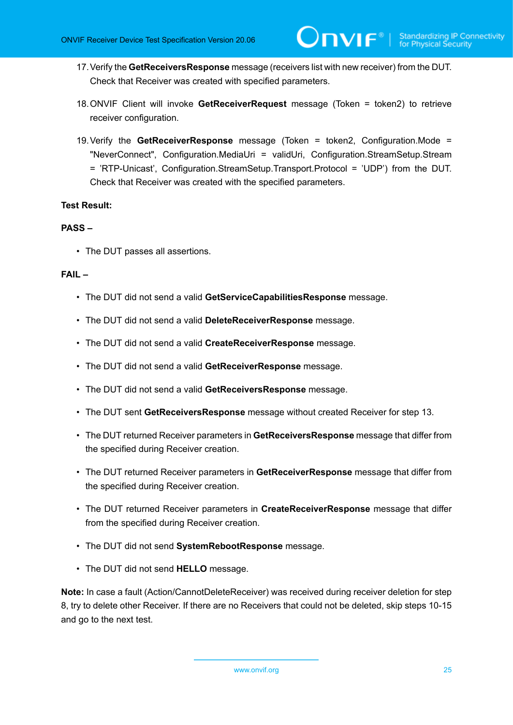- 17.Verify the **GetReceiversResponse** message (receivers list with new receiver) from the DUT. Check that Receiver was created with specified parameters.
- 18.ONVIF Client will invoke **GetReceiverRequest** message (Token = token2) to retrieve receiver configuration.
- 19.Verify the **GetReceiverResponse** message (Token = token2, Configuration.Mode = "NeverConnect", Configuration.MediaUri = validUri, Configuration.StreamSetup.Stream = 'RTP-Unicast', Configuration.StreamSetup.Transport.Protocol = 'UDP') from the DUT. Check that Receiver was created with the specified parameters.

#### **PASS –**

• The DUT passes all assertions.

#### **FAIL –**

- The DUT did not send a valid **GetServiceCapabilitiesResponse** message.
- The DUT did not send a valid **DeleteReceiverResponse** message.
- The DUT did not send a valid **CreateReceiverResponse** message.
- The DUT did not send a valid **GetReceiverResponse** message.
- The DUT did not send a valid **GetReceiversResponse** message.
- The DUT sent **GetReceiversResponse** message without created Receiver for step 13.
- The DUT returned Receiver parameters in **GetReceiversResponse** message that differ from the specified during Receiver creation.
- The DUT returned Receiver parameters in **GetReceiverResponse** message that differ from the specified during Receiver creation.
- The DUT returned Receiver parameters in **CreateReceiverResponse** message that differ from the specified during Receiver creation.
- The DUT did not send **SystemRebootResponse** message.
- The DUT did not send **HELLO** message.

**Note:** In case a fault (Action/CannotDeleteReceiver) was received during receiver deletion for step 8, try to delete other Receiver. If there are no Receivers that could not be deleted, skip steps 10-15 and go to the next test.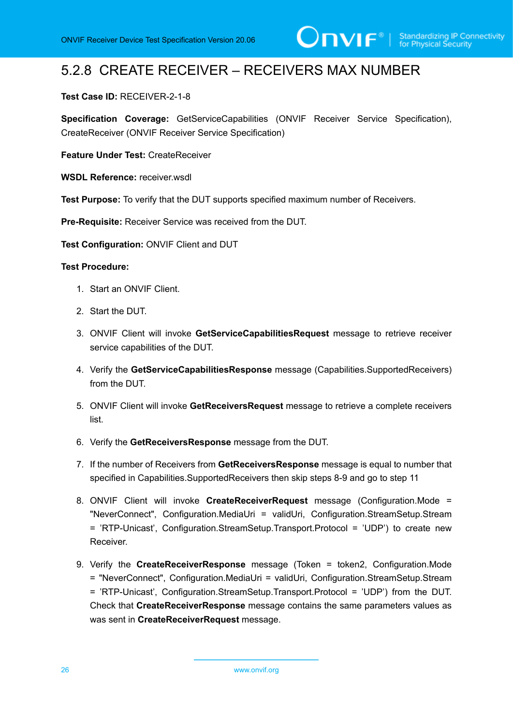### <span id="page-25-0"></span>5.2.8 CREATE RECEIVER – RECEIVERS MAX NUMBER

#### **Test Case ID:** RECEIVER-2-1-8

**Specification Coverage:** GetServiceCapabilities (ONVIF Receiver Service Specification), CreateReceiver (ONVIF Receiver Service Specification)

**Feature Under Test:** CreateReceiver

**WSDL Reference:** receiver.wsdl

**Test Purpose:** To verify that the DUT supports specified maximum number of Receivers.

**Pre-Requisite:** Receiver Service was received from the DUT.

**Test Configuration:** ONVIF Client and DUT

- 1. Start an ONVIF Client.
- 2. Start the DUT.
- 3. ONVIF Client will invoke **GetServiceCapabilitiesRequest** message to retrieve receiver service capabilities of the DUT.
- 4. Verify the **GetServiceCapabilitiesResponse** message (Capabilities.SupportedReceivers) from the DUT.
- 5. ONVIF Client will invoke **GetReceiversRequest** message to retrieve a complete receivers list.
- 6. Verify the **GetReceiversResponse** message from the DUT.
- 7. If the number of Receivers from **GetReceiversResponse** message is equal to number that specified in Capabilities.SupportedReceivers then skip steps 8-9 and go to step 11
- 8. ONVIF Client will invoke **CreateReceiverRequest** message (Configuration.Mode = "NeverConnect", Configuration.MediaUri = validUri, Configuration.StreamSetup.Stream = 'RTP-Unicast', Configuration.StreamSetup.Transport.Protocol = 'UDP') to create new Receiver.
- 9. Verify the **CreateReceiverResponse** message (Token = token2, Configuration.Mode = "NeverConnect", Configuration.MediaUri = validUri, Configuration.StreamSetup.Stream = 'RTP-Unicast', Configuration.StreamSetup.Transport.Protocol = 'UDP') from the DUT. Check that **CreateReceiverResponse** message contains the same parameters values as was sent in **CreateReceiverRequest** message.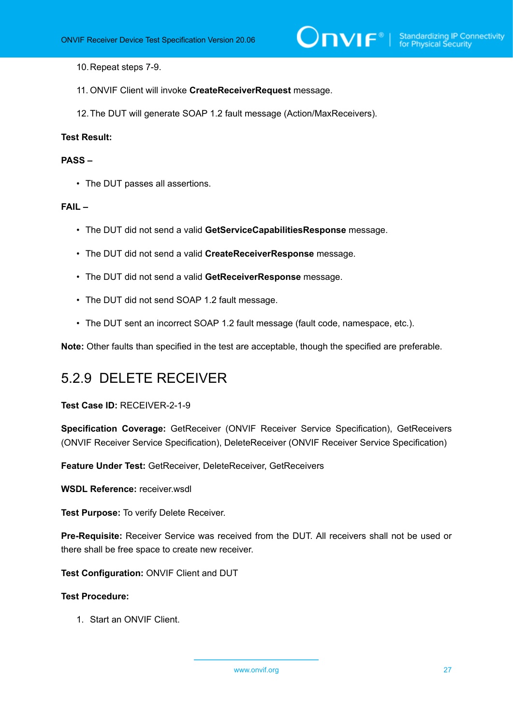10.Repeat steps 7-9.

- 11. ONVIF Client will invoke **CreateReceiverRequest** message.
- 12.The DUT will generate SOAP 1.2 fault message (Action/MaxReceivers).

#### **Test Result:**

#### **PASS –**

• The DUT passes all assertions.

#### **FAIL –**

- The DUT did not send a valid **GetServiceCapabilitiesResponse** message.
- The DUT did not send a valid **CreateReceiverResponse** message.
- The DUT did not send a valid **GetReceiverResponse** message.
- The DUT did not send SOAP 1.2 fault message.
- The DUT sent an incorrect SOAP 1.2 fault message (fault code, namespace, etc.).

<span id="page-26-0"></span>**Note:** Other faults than specified in the test are acceptable, though the specified are preferable.

### 5.2.9 DELETE RECEIVER

#### **Test Case ID:** RECEIVER-2-1-9

**Specification Coverage:** GetReceiver (ONVIF Receiver Service Specification), GetReceivers (ONVIF Receiver Service Specification), DeleteReceiver (ONVIF Receiver Service Specification)

**Feature Under Test:** GetReceiver, DeleteReceiver, GetReceivers

**WSDL Reference:** receiver.wsdl

**Test Purpose:** To verify Delete Receiver.

**Pre-Requisite:** Receiver Service was received from the DUT. All receivers shall not be used or there shall be free space to create new receiver.

**Test Configuration:** ONVIF Client and DUT

#### **Test Procedure:**

1. Start an ONVIF Client.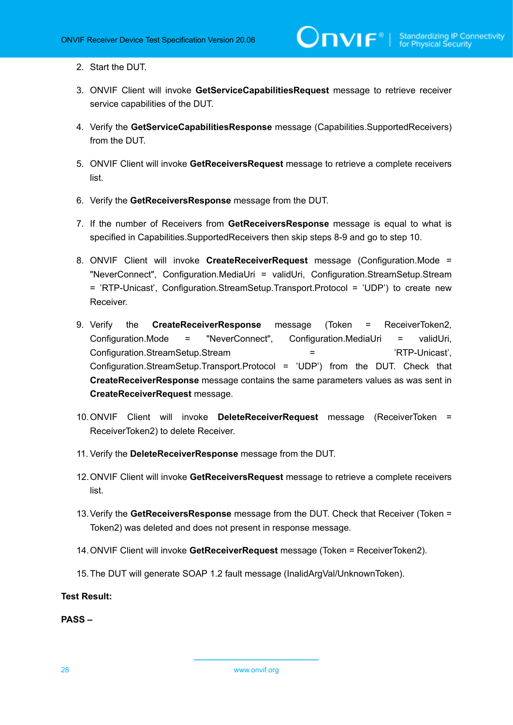- 2. Start the DUT.
- 3. ONVIF Client will invoke **GetServiceCapabilitiesRequest** message to retrieve receiver service capabilities of the DUT.
- 4. Verify the **GetServiceCapabilitiesResponse** message (Capabilities.SupportedReceivers) from the DUT.
- 5. ONVIF Client will invoke **GetReceiversRequest** message to retrieve a complete receivers list.
- 6. Verify the **GetReceiversResponse** message from the DUT.
- 7. If the number of Receivers from **GetReceiversResponse** message is equal to what is specified in Capabilities.SupportedReceivers then skip steps 8-9 and go to step 10.
- 8. ONVIF Client will invoke **CreateReceiverRequest** message (Configuration.Mode = "NeverConnect", Configuration.MediaUri = validUri, Configuration.StreamSetup.Stream = 'RTP-Unicast', Configuration.StreamSetup.Transport.Protocol = 'UDP') to create new Receiver.
- 9. Verify the **CreateReceiverResponse** message (Token = ReceiverToken2, Configuration.Mode = "NeverConnect", Configuration.MediaUri = validUri, Configuration.StreamSetup.Stream = 'RTP-Unicast', Configuration.StreamSetup.Transport.Protocol = 'UDP') from the DUT. Check that **CreateReceiverResponse** message contains the same parameters values as was sent in **CreateReceiverRequest** message.
- 10.ONVIF Client will invoke **DeleteReceiverRequest** message (ReceiverToken = ReceiverToken2) to delete Receiver.
- 11. Verify the **DeleteReceiverResponse** message from the DUT.
- 12.ONVIF Client will invoke **GetReceiversRequest** message to retrieve a complete receivers list.
- 13.Verify the **GetReceiversResponse** message from the DUT. Check that Receiver (Token = Token2) was deleted and does not present in response message.
- 14.ONVIF Client will invoke **GetReceiverRequest** message (Token = ReceiverToken2).
- 15.The DUT will generate SOAP 1.2 fault message (InalidArgVal/UnknownToken).

**PASS –**

28 www.onvif.org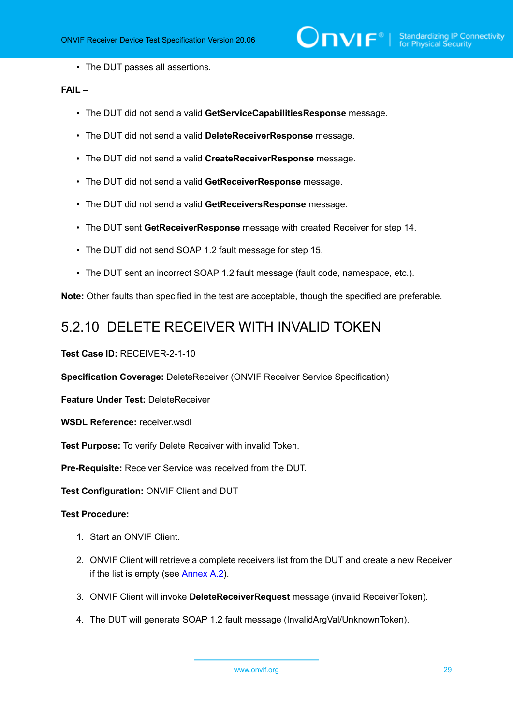• The DUT passes all assertions.

#### **FAIL –**

- The DUT did not send a valid **GetServiceCapabilitiesResponse** message.
- The DUT did not send a valid **DeleteReceiverResponse** message.
- The DUT did not send a valid **CreateReceiverResponse** message.
- The DUT did not send a valid **GetReceiverResponse** message.
- The DUT did not send a valid **GetReceiversResponse** message.
- The DUT sent **GetReceiverResponse** message with created Receiver for step 14.
- The DUT did not send SOAP 1.2 fault message for step 15.
- The DUT sent an incorrect SOAP 1.2 fault message (fault code, namespace, etc.).

<span id="page-28-0"></span>**Note:** Other faults than specified in the test are acceptable, though the specified are preferable.

### 5.2.10 DELETE RECEIVER WITH INVALID TOKEN

**Test Case ID:** RECEIVER-2-1-10

**Specification Coverage:** DeleteReceiver (ONVIF Receiver Service Specification)

**Feature Under Test:** DeleteReceiver

**WSDL Reference:** receiver.wsdl

**Test Purpose:** To verify Delete Receiver with invalid Token.

**Pre-Requisite:** Receiver Service was received from the DUT.

**Test Configuration:** ONVIF Client and DUT

- 1. Start an ONVIF Client.
- 2. ONVIF Client will retrieve a complete receivers list from the DUT and create a new Receiver if the list is empty (see [Annex A.2\)](#page-47-2).
- 3. ONVIF Client will invoke **DeleteReceiverRequest** message (invalid ReceiverToken).
- 4. The DUT will generate SOAP 1.2 fault message (InvalidArgVal/UnknownToken).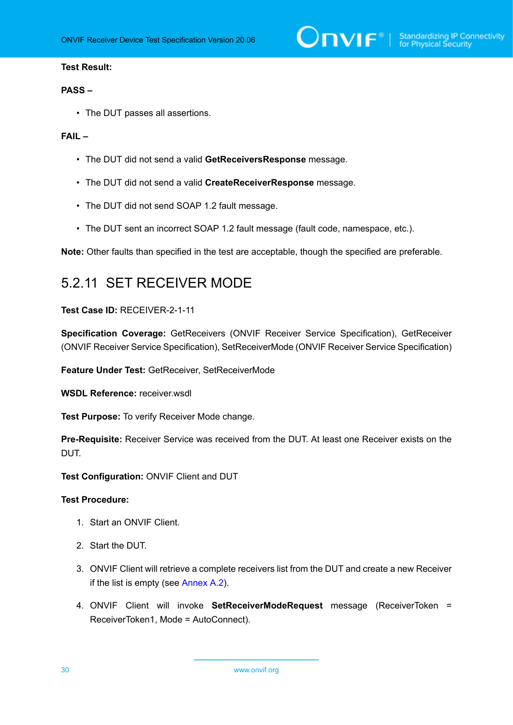$\sum_{\text{IVIF}^{\circledast}}$  | Standardizing IP Connectivity

#### **Test Result:**

#### **PASS –**

• The DUT passes all assertions.

#### **FAIL –**

- The DUT did not send a valid **GetReceiversResponse** message.
- The DUT did not send a valid **CreateReceiverResponse** message.
- The DUT did not send SOAP 1.2 fault message.
- The DUT sent an incorrect SOAP 1.2 fault message (fault code, namespace, etc.).

<span id="page-29-0"></span>**Note:** Other faults than specified in the test are acceptable, though the specified are preferable.

### 5.2.11 SET RECEIVER MODE

#### **Test Case ID:** RECEIVER-2-1-11

**Specification Coverage:** GetReceivers (ONVIF Receiver Service Specification), GetReceiver (ONVIF Receiver Service Specification), SetReceiverMode (ONVIF Receiver Service Specification)

**Feature Under Test:** GetReceiver, SetReceiverMode

**WSDL Reference:** receiver.wsdl

**Test Purpose:** To verify Receiver Mode change.

**Pre-Requisite:** Receiver Service was received from the DUT. At least one Receiver exists on the DUT.

**Test Configuration:** ONVIF Client and DUT

- 1. Start an ONVIF Client.
- 2. Start the DUT.
- 3. ONVIF Client will retrieve a complete receivers list from the DUT and create a new Receiver if the list is empty (see [Annex A.2\)](#page-47-2).
- 4. ONVIF Client will invoke **SetReceiverModeRequest** message (ReceiverToken = ReceiverToken1, Mode = AutoConnect).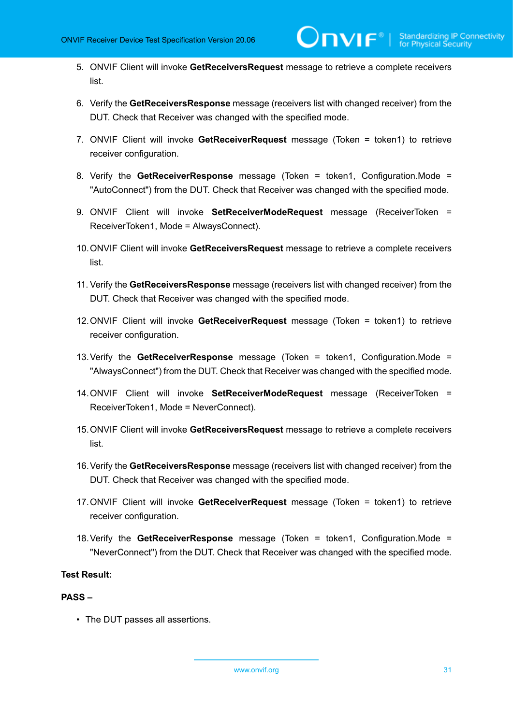- 5. ONVIF Client will invoke **GetReceiversRequest** message to retrieve a complete receivers list.
- 6. Verify the **GetReceiversResponse** message (receivers list with changed receiver) from the DUT. Check that Receiver was changed with the specified mode.
- 7. ONVIF Client will invoke **GetReceiverRequest** message (Token = token1) to retrieve receiver configuration.
- 8. Verify the **GetReceiverResponse** message (Token = token1, Configuration.Mode = "AutoConnect") from the DUT. Check that Receiver was changed with the specified mode.
- 9. ONVIF Client will invoke **SetReceiverModeRequest** message (ReceiverToken = ReceiverToken1, Mode = AlwaysConnect).
- 10.ONVIF Client will invoke **GetReceiversRequest** message to retrieve a complete receivers list.
- 11. Verify the **GetReceiversResponse** message (receivers list with changed receiver) from the DUT. Check that Receiver was changed with the specified mode.
- 12.ONVIF Client will invoke **GetReceiverRequest** message (Token = token1) to retrieve receiver configuration.
- 13.Verify the **GetReceiverResponse** message (Token = token1, Configuration.Mode = "AlwaysConnect") from the DUT. Check that Receiver was changed with the specified mode.
- 14.ONVIF Client will invoke **SetReceiverModeRequest** message (ReceiverToken = ReceiverToken1, Mode = NeverConnect).
- 15.ONVIF Client will invoke **GetReceiversRequest** message to retrieve a complete receivers list.
- 16.Verify the **GetReceiversResponse** message (receivers list with changed receiver) from the DUT. Check that Receiver was changed with the specified mode.
- 17.ONVIF Client will invoke **GetReceiverRequest** message (Token = token1) to retrieve receiver configuration.
- 18.Verify the **GetReceiverResponse** message (Token = token1, Configuration.Mode = "NeverConnect") from the DUT. Check that Receiver was changed with the specified mode.

#### **PASS –**

• The DUT passes all assertions.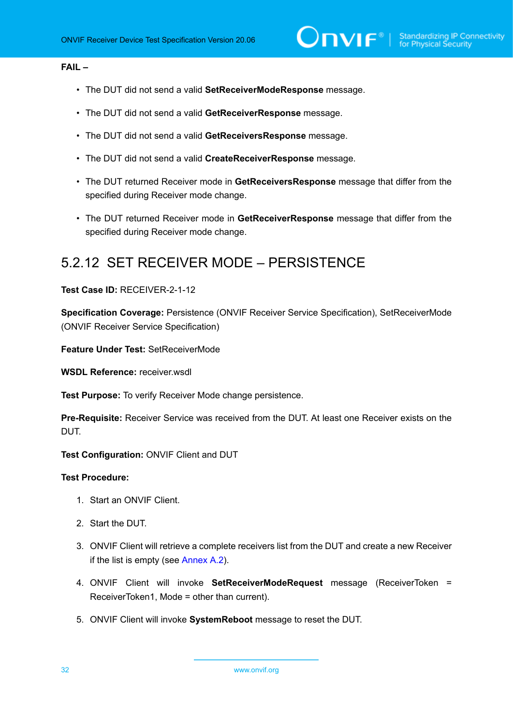#### **FAIL –**

- The DUT did not send a valid **SetReceiverModeResponse** message.
- The DUT did not send a valid **GetReceiverResponse** message.
- The DUT did not send a valid **GetReceiversResponse** message.
- The DUT did not send a valid **CreateReceiverResponse** message.
- The DUT returned Receiver mode in **GetReceiversResponse** message that differ from the specified during Receiver mode change.
- The DUT returned Receiver mode in **GetReceiverResponse** message that differ from the specified during Receiver mode change.

### <span id="page-31-0"></span>5.2.12 SET RECEIVER MODE – PERSISTENCE

#### **Test Case ID:** RECEIVER-2-1-12

**Specification Coverage:** Persistence (ONVIF Receiver Service Specification), SetReceiverMode (ONVIF Receiver Service Specification)

**Feature Under Test:** SetReceiverMode

**WSDL Reference:** receiver.wsdl

**Test Purpose:** To verify Receiver Mode change persistence.

**Pre-Requisite:** Receiver Service was received from the DUT. At least one Receiver exists on the DUT.

**Test Configuration:** ONVIF Client and DUT

- 1. Start an ONVIF Client.
- 2. Start the DUT.
- 3. ONVIF Client will retrieve a complete receivers list from the DUT and create a new Receiver if the list is empty (see [Annex A.2\)](#page-47-2).
- 4. ONVIF Client will invoke **SetReceiverModeRequest** message (ReceiverToken = ReceiverToken1, Mode = other than current).
- 5. ONVIF Client will invoke **SystemReboot** message to reset the DUT.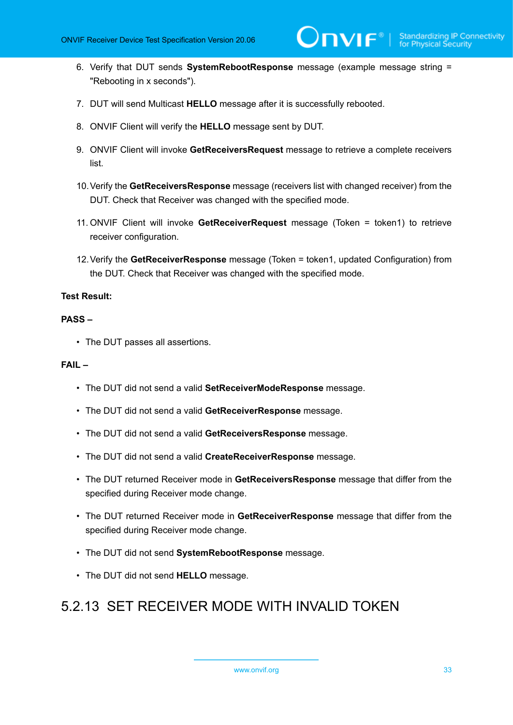6. Verify that DUT sends **SystemRebootResponse** message (example message string = "Rebooting in x seconds").

 $\mathsf{D}\mathbf{N}\mathsf{I}\mathsf{F}^\ast$ l

- 7. DUT will send Multicast **HELLO** message after it is successfully rebooted.
- 8. ONVIF Client will verify the **HELLO** message sent by DUT.
- 9. ONVIF Client will invoke **GetReceiversRequest** message to retrieve a complete receivers list.
- 10.Verify the **GetReceiversResponse** message (receivers list with changed receiver) from the DUT. Check that Receiver was changed with the specified mode.
- 11. ONVIF Client will invoke **GetReceiverRequest** message (Token = token1) to retrieve receiver configuration.
- 12.Verify the **GetReceiverResponse** message (Token = token1, updated Configuration) from the DUT. Check that Receiver was changed with the specified mode.

#### **Test Result:**

#### **PASS –**

• The DUT passes all assertions.

#### **FAIL –**

- The DUT did not send a valid **SetReceiverModeResponse** message.
- The DUT did not send a valid **GetReceiverResponse** message.
- The DUT did not send a valid **GetReceiversResponse** message.
- The DUT did not send a valid **CreateReceiverResponse** message.
- The DUT returned Receiver mode in **GetReceiversResponse** message that differ from the specified during Receiver mode change.
- The DUT returned Receiver mode in **GetReceiverResponse** message that differ from the specified during Receiver mode change.
- The DUT did not send **SystemRebootResponse** message.
- The DUT did not send **HELLO** message.

### <span id="page-32-0"></span>5.2.13 SET RECEIVER MODE WITH INVALID TOKEN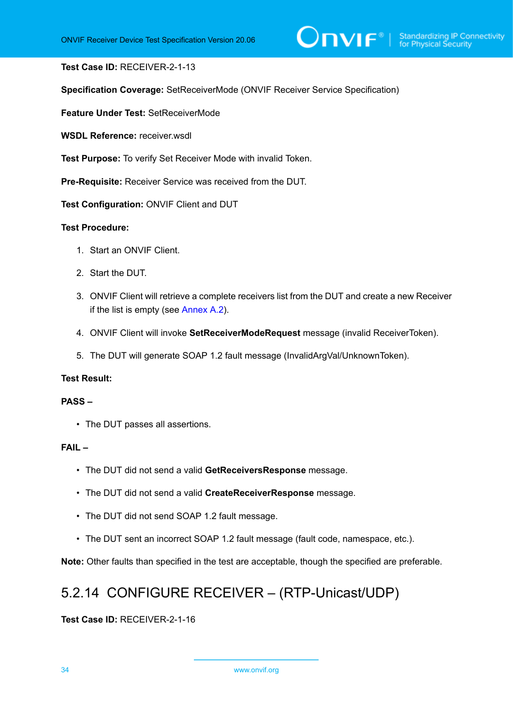#### **Test Case ID:** RECEIVER-2-1-13

**Specification Coverage:** SetReceiverMode (ONVIF Receiver Service Specification)

**Feature Under Test:** SetReceiverMode

**WSDL Reference:** receiver.wsdl

**Test Purpose:** To verify Set Receiver Mode with invalid Token.

**Pre-Requisite:** Receiver Service was received from the DUT.

**Test Configuration:** ONVIF Client and DUT

#### **Test Procedure:**

- 1. Start an ONVIF Client.
- 2. Start the DUT.
- 3. ONVIF Client will retrieve a complete receivers list from the DUT and create a new Receiver if the list is empty (see [Annex A.2\)](#page-47-2).
- 4. ONVIF Client will invoke **SetReceiverModeRequest** message (invalid ReceiverToken).
- 5. The DUT will generate SOAP 1.2 fault message (InvalidArgVal/UnknownToken).

#### **Test Result:**

#### **PASS –**

• The DUT passes all assertions.

#### **FAIL –**

- The DUT did not send a valid **GetReceiversResponse** message.
- The DUT did not send a valid **CreateReceiverResponse** message.
- The DUT did not send SOAP 1.2 fault message.
- The DUT sent an incorrect SOAP 1.2 fault message (fault code, namespace, etc.).

<span id="page-33-0"></span>**Note:** Other faults than specified in the test are acceptable, though the specified are preferable.

### 5.2.14 CONFIGURE RECEIVER – (RTP-Unicast/UDP)

**Test Case ID:** RECEIVER-2-1-16

34 www.onvif.org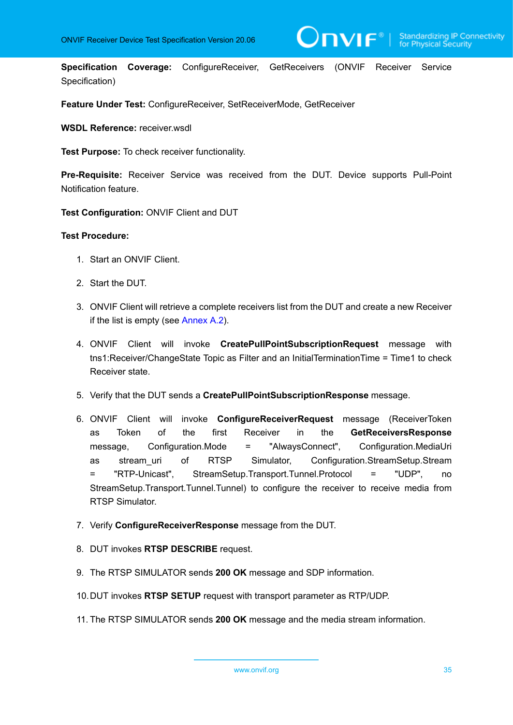**Specification Coverage:** ConfigureReceiver, GetReceivers (ONVIF Receiver Service Specification)

**Feature Under Test: ConfigureReceiver, SetReceiverMode, GetReceiver** 

**WSDL Reference:** receiver.wsdl

**Test Purpose:** To check receiver functionality.

**Pre-Requisite:** Receiver Service was received from the DUT. Device supports Pull-Point Notification feature.

**Test Configuration:** ONVIF Client and DUT

- 1. Start an ONVIF Client.
- 2. Start the DUT.
- 3. ONVIF Client will retrieve a complete receivers list from the DUT and create a new Receiver if the list is empty (see [Annex A.2\)](#page-47-2).
- 4. ONVIF Client will invoke **CreatePullPointSubscriptionRequest** message with tns1:Receiver/ChangeState Topic as Filter and an InitialTerminationTime = Time1 to check Receiver state.
- 5. Verify that the DUT sends a **CreatePullPointSubscriptionResponse** message.
- 6. ONVIF Client will invoke **ConfigureReceiverRequest** message (ReceiverToken as Token of the first Receiver in the **GetReceiversResponse** message, Configuration.Mode = "AlwaysConnect", Configuration.MediaUri as stream\_uri of RTSP Simulator, Configuration.StreamSetup.Stream = "RTP-Unicast", StreamSetup.Transport.Tunnel.Protocol = "UDP", no StreamSetup.Transport.Tunnel.Tunnel) to configure the receiver to receive media from RTSP Simulator.
- 7. Verify **ConfigureReceiverResponse** message from the DUT.
- 8. DUT invokes **RTSP DESCRIBE** request.
- 9. The RTSP SIMULATOR sends **200 OK** message and SDP information.
- 10.DUT invokes **RTSP SETUP** request with transport parameter as RTP/UDP.
- 11. The RTSP SIMULATOR sends **200 OK** message and the media stream information.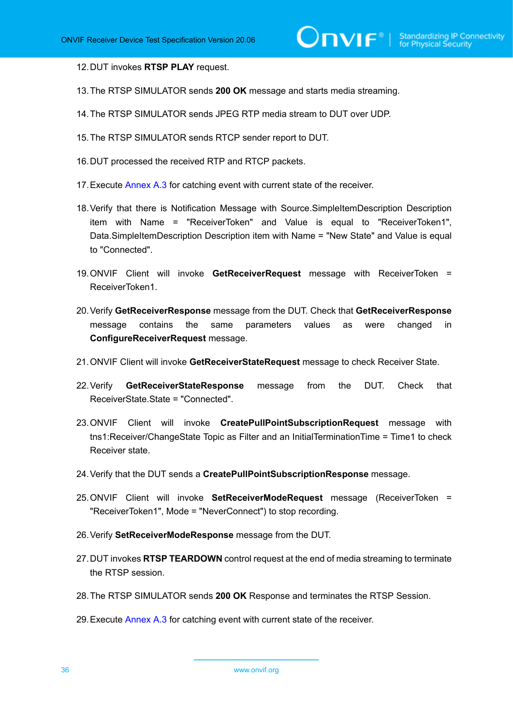12.DUT invokes **RTSP PLAY** request.

- 13.The RTSP SIMULATOR sends **200 OK** message and starts media streaming.
- 14.The RTSP SIMULATOR sends JPEG RTP media stream to DUT over UDP.
- 15.The RTSP SIMULATOR sends RTCP sender report to DUT.
- 16.DUT processed the received RTP and RTCP packets.
- 17. Execute [Annex A.3](#page-48-0) for catching event with current state of the receiver.
- 18.Verify that there is Notification Message with Source.SimpleItemDescription Description item with Name = "ReceiverToken" and Value is equal to "ReceiverToken1", Data.SimpleItemDescription Description item with Name = "New State" and Value is equal to "Connected".
- 19.ONVIF Client will invoke **GetReceiverRequest** message with ReceiverToken = ReceiverToken1.
- 20.Verify **GetReceiverResponse** message from the DUT. Check that **GetReceiverResponse** message contains the same parameters values as were changed in **ConfigureReceiverRequest** message.
- 21.ONVIF Client will invoke **GetReceiverStateRequest** message to check Receiver State.
- 22.Verify **GetReceiverStateResponse** message from the DUT. Check that ReceiverState.State = "Connected".
- 23.ONVIF Client will invoke **CreatePullPointSubscriptionRequest** message with tns1:Receiver/ChangeState Topic as Filter and an InitialTerminationTime = Time1 to check Receiver state.
- 24.Verify that the DUT sends a **CreatePullPointSubscriptionResponse** message.
- 25.ONVIF Client will invoke **SetReceiverModeRequest** message (ReceiverToken = "ReceiverToken1", Mode = "NeverConnect") to stop recording.
- 26.Verify **SetReceiverModeResponse** message from the DUT.
- 27.DUT invokes **RTSP TEARDOWN** control request at the end of media streaming to terminate the RTSP session.
- 28.The RTSP SIMULATOR sends **200 OK** Response and terminates the RTSP Session.
- 29. Execute [Annex A.3](#page-48-0) for catching event with current state of the receiver.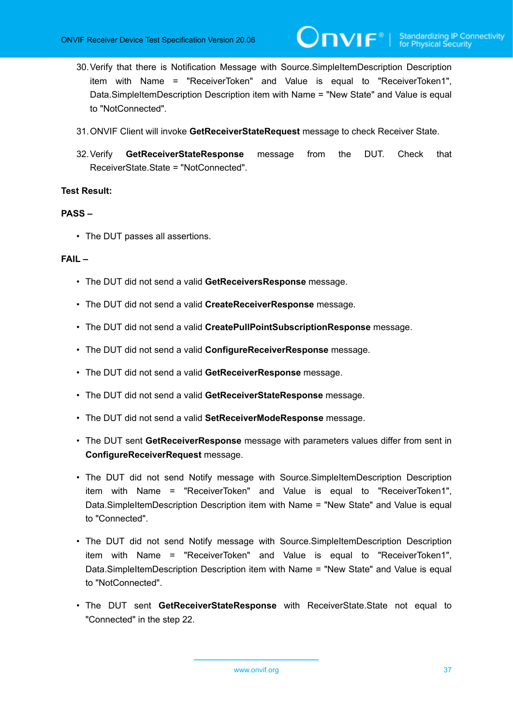- 30.Verify that there is Notification Message with Source.SimpleItemDescription Description item with Name = "ReceiverToken" and Value is equal to "ReceiverToken1", Data.SimpleItemDescription Description item with Name = "New State" and Value is equal to "NotConnected".
- 31.ONVIF Client will invoke **GetReceiverStateRequest** message to check Receiver State.
- 32.Verify **GetReceiverStateResponse** message from the DUT. Check that ReceiverState.State = "NotConnected".

#### **PASS –**

• The DUT passes all assertions.

#### **FAIL –**

- The DUT did not send a valid **GetReceiversResponse** message.
- The DUT did not send a valid **CreateReceiverResponse** message.
- The DUT did not send a valid **CreatePullPointSubscriptionResponse** message.
- The DUT did not send a valid **ConfigureReceiverResponse** message.
- The DUT did not send a valid **GetReceiverResponse** message.
- The DUT did not send a valid **GetReceiverStateResponse** message.
- The DUT did not send a valid **SetReceiverModeResponse** message.
- The DUT sent **GetReceiverResponse** message with parameters values differ from sent in **ConfigureReceiverRequest** message.
- The DUT did not send Notify message with Source.SimpleItemDescription Description item with Name = "ReceiverToken" and Value is equal to "ReceiverToken1", Data.SimpleItemDescription Description item with Name = "New State" and Value is equal to "Connected".
- The DUT did not send Notify message with Source.SimpleItemDescription Description item with Name = "ReceiverToken" and Value is equal to "ReceiverToken1", Data.SimpleItemDescription Description item with Name = "New State" and Value is equal to "NotConnected".
- The DUT sent **GetReceiverStateResponse** with ReceiverState.State not equal to "Connected" in the step 22.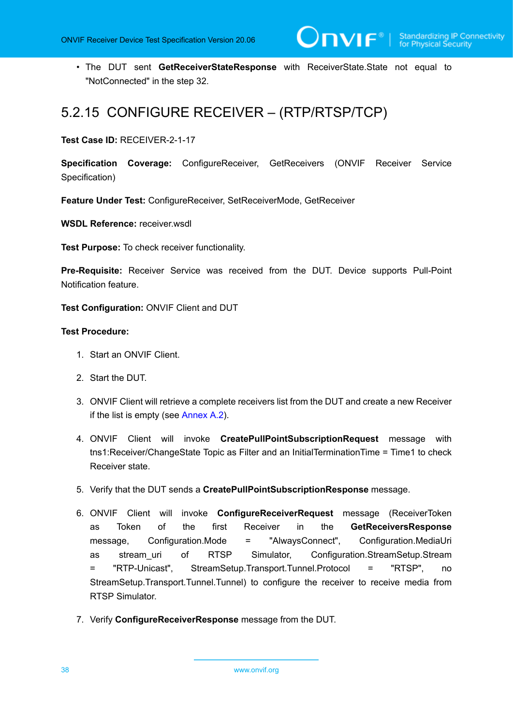• The DUT sent **GetReceiverStateResponse** with ReceiverState.State not equal to "NotConnected" in the step 32.

### <span id="page-37-0"></span>5.2.15 CONFIGURE RECEIVER – (RTP/RTSP/TCP)

**Test Case ID:** RECEIVER-2-1-17

**Specification Coverage:** ConfigureReceiver, GetReceivers (ONVIF Receiver Service Specification)

**Feature Under Test: ConfigureReceiver, SetReceiverMode, GetReceiver** 

**WSDL Reference:** receiver.wsdl

**Test Purpose:** To check receiver functionality.

**Pre-Requisite:** Receiver Service was received from the DUT. Device supports Pull-Point Notification feature.

**Test Configuration:** ONVIF Client and DUT

- 1. Start an ONVIF Client.
- 2. Start the DUT.
- 3. ONVIF Client will retrieve a complete receivers list from the DUT and create a new Receiver if the list is empty (see [Annex A.2\)](#page-47-2).
- 4. ONVIF Client will invoke **CreatePullPointSubscriptionRequest** message with tns1:Receiver/ChangeState Topic as Filter and an InitialTerminationTime = Time1 to check Receiver state.
- 5. Verify that the DUT sends a **CreatePullPointSubscriptionResponse** message.
- 6. ONVIF Client will invoke **ConfigureReceiverRequest** message (ReceiverToken as Token of the first Receiver in the **GetReceiversResponse** message, Configuration.Mode = "AlwaysConnect", Configuration.MediaUri as stream uri of RTSP Simulator, Configuration.StreamSetup.Stream = "RTP-Unicast", StreamSetup.Transport.Tunnel.Protocol = "RTSP", no StreamSetup.Transport.Tunnel.Tunnel) to configure the receiver to receive media from RTSP Simulator.
- 7. Verify **ConfigureReceiverResponse** message from the DUT.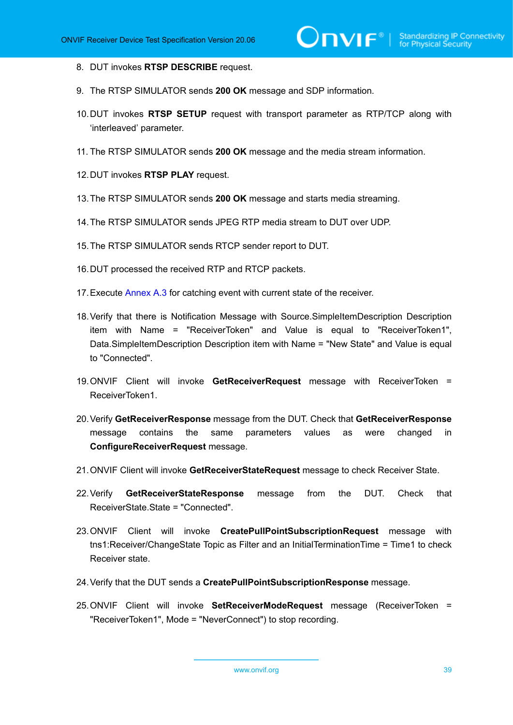- 8. DUT invokes **RTSP DESCRIBE** request.
- 9. The RTSP SIMULATOR sends **200 OK** message and SDP information.
- 10.DUT invokes **RTSP SETUP** request with transport parameter as RTP/TCP along with 'interleaved' parameter.
- 11. The RTSP SIMULATOR sends **200 OK** message and the media stream information.
- 12.DUT invokes **RTSP PLAY** request.
- 13.The RTSP SIMULATOR sends **200 OK** message and starts media streaming.
- 14.The RTSP SIMULATOR sends JPEG RTP media stream to DUT over UDP.
- 15.The RTSP SIMULATOR sends RTCP sender report to DUT.
- 16.DUT processed the received RTP and RTCP packets.
- 17. Execute [Annex A.3](#page-48-0) for catching event with current state of the receiver.
- 18.Verify that there is Notification Message with Source.SimpleItemDescription Description item with Name = "ReceiverToken" and Value is equal to "ReceiverToken1", Data.SimpleItemDescription Description item with Name = "New State" and Value is equal to "Connected".
- 19.ONVIF Client will invoke **GetReceiverRequest** message with ReceiverToken = ReceiverToken1.
- 20.Verify **GetReceiverResponse** message from the DUT. Check that **GetReceiverResponse** message contains the same parameters values as were changed in **ConfigureReceiverRequest** message.
- 21.ONVIF Client will invoke **GetReceiverStateRequest** message to check Receiver State.
- 22.Verify **GetReceiverStateResponse** message from the DUT. Check that ReceiverState.State = "Connected".
- 23.ONVIF Client will invoke **CreatePullPointSubscriptionRequest** message with tns1:Receiver/ChangeState Topic as Filter and an InitialTerminationTime = Time1 to check Receiver state.
- 24.Verify that the DUT sends a **CreatePullPointSubscriptionResponse** message.
- 25.ONVIF Client will invoke **SetReceiverModeRequest** message (ReceiverToken = "ReceiverToken1", Mode = "NeverConnect") to stop recording.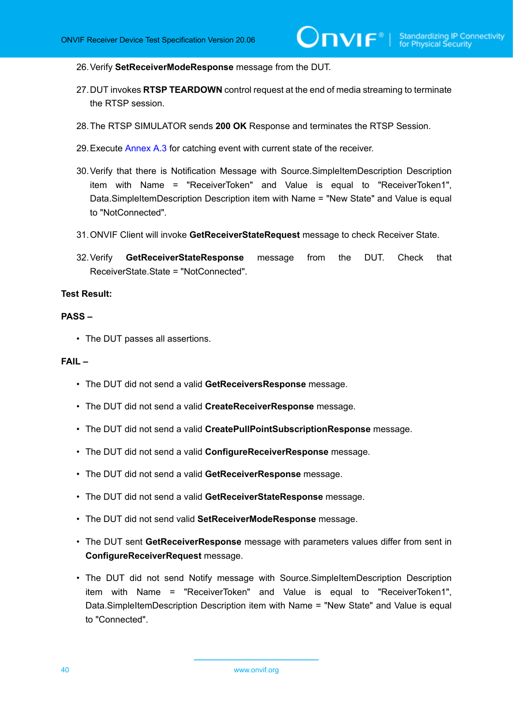26.Verify **SetReceiverModeResponse** message from the DUT.

- 27.DUT invokes **RTSP TEARDOWN** control request at the end of media streaming to terminate the RTSP session.
- 28.The RTSP SIMULATOR sends **200 OK** Response and terminates the RTSP Session.
- 29. Execute [Annex A.3](#page-48-0) for catching event with current state of the receiver.
- 30.Verify that there is Notification Message with Source.SimpleItemDescription Description item with Name = "ReceiverToken" and Value is equal to "ReceiverToken1", Data.SimpleItemDescription Description item with Name = "New State" and Value is equal to "NotConnected".
- 31.ONVIF Client will invoke **GetReceiverStateRequest** message to check Receiver State.
- 32.Verify **GetReceiverStateResponse** message from the DUT. Check that ReceiverState.State = "NotConnected".

#### **Test Result:**

#### **PASS –**

• The DUT passes all assertions.

#### **FAIL –**

- The DUT did not send a valid **GetReceiversResponse** message.
- The DUT did not send a valid **CreateReceiverResponse** message.
- The DUT did not send a valid **CreatePullPointSubscriptionResponse** message.
- The DUT did not send a valid **ConfigureReceiverResponse** message.
- The DUT did not send a valid **GetReceiverResponse** message.
- The DUT did not send a valid **GetReceiverStateResponse** message.
- The DUT did not send valid **SetReceiverModeResponse** message.
- The DUT sent **GetReceiverResponse** message with parameters values differ from sent in **ConfigureReceiverRequest** message.
- The DUT did not send Notify message with Source.SimpleItemDescription Description item with Name = "ReceiverToken" and Value is equal to "ReceiverToken1", Data.SimpleItemDescription Description item with Name = "New State" and Value is equal to "Connected".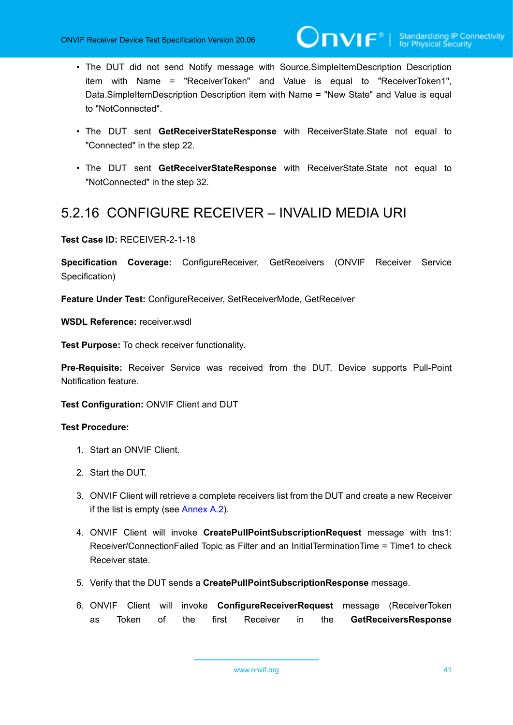- The DUT did not send Notify message with Source.SimpleItemDescription Description item with Name = "ReceiverToken" and Value is equal to "ReceiverToken1", Data.SimpleItemDescription Description item with Name = "New State" and Value is equal to "NotConnected".
- The DUT sent **GetReceiverStateResponse** with ReceiverState.State not equal to "Connected" in the step 22.
- The DUT sent **GetReceiverStateResponse** with ReceiverState.State not equal to "NotConnected" in the step 32.

### <span id="page-40-0"></span>5.2.16 CONFIGURE RECEIVER – INVALID MEDIA URI

**Test Case ID:** RECEIVER-2-1-18

**Specification Coverage:** ConfigureReceiver, GetReceivers (ONVIF Receiver Service Specification)

**Feature Under Test: ConfigureReceiver, SetReceiverMode, GetReceiver** 

**WSDL Reference:** receiver.wsdl

**Test Purpose:** To check receiver functionality.

**Pre-Requisite:** Receiver Service was received from the DUT. Device supports Pull-Point Notification feature.

**Test Configuration:** ONVIF Client and DUT

- 1. Start an ONVIF Client.
- 2. Start the DUT.
- 3. ONVIF Client will retrieve a complete receivers list from the DUT and create a new Receiver if the list is empty (see [Annex A.2\)](#page-47-2).
- 4. ONVIF Client will invoke **CreatePullPointSubscriptionRequest** message with tns1: Receiver/ConnectionFailed Topic as Filter and an InitialTerminationTime = Time1 to check Receiver state.
- 5. Verify that the DUT sends a **CreatePullPointSubscriptionResponse** message.
- 6. ONVIF Client will invoke **ConfigureReceiverRequest** message (ReceiverToken as Token of the first Receiver in the **GetReceiversResponse**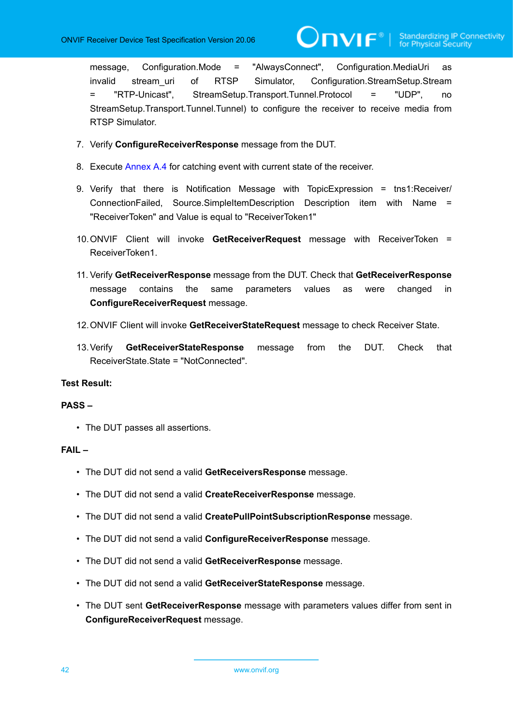message, Configuration.Mode = "AlwaysConnect", Configuration.MediaUri as invalid stream uri of RTSP Simulator, Configuration.StreamSetup.Stream = "RTP-Unicast", StreamSetup.Transport.Tunnel.Protocol = "UDP", no StreamSetup.Transport.Tunnel.Tunnel) to configure the receiver to receive media from RTSP Simulator.

 $\bm{\cup}$ NIF $^{\circ}$ l

- 7. Verify **ConfigureReceiverResponse** message from the DUT.
- 8. Execute [Annex A.4](#page-48-1) for catching event with current state of the receiver.
- 9. Verify that there is Notification Message with TopicExpression = tns1:Receiver/ ConnectionFailed, Source.SimpleItemDescription Description item with Name = "ReceiverToken" and Value is equal to "ReceiverToken1"
- 10.ONVIF Client will invoke **GetReceiverRequest** message with ReceiverToken = ReceiverToken1.
- 11. Verify **GetReceiverResponse** message from the DUT. Check that **GetReceiverResponse** message contains the same parameters values as were changed in **ConfigureReceiverRequest** message.
- 12.ONVIF Client will invoke **GetReceiverStateRequest** message to check Receiver State.
- 13.Verify **GetReceiverStateResponse** message from the DUT. Check that ReceiverState.State = "NotConnected".

#### **Test Result:**

#### **PASS –**

• The DUT passes all assertions.

#### **FAIL –**

- The DUT did not send a valid **GetReceiversResponse** message.
- The DUT did not send a valid **CreateReceiverResponse** message.
- The DUT did not send a valid **CreatePullPointSubscriptionResponse** message.
- The DUT did not send a valid **ConfigureReceiverResponse** message.
- The DUT did not send a valid **GetReceiverResponse** message.
- The DUT did not send a valid **GetReceiverStateResponse** message.
- The DUT sent **GetReceiverResponse** message with parameters values differ from sent in **ConfigureReceiverRequest** message.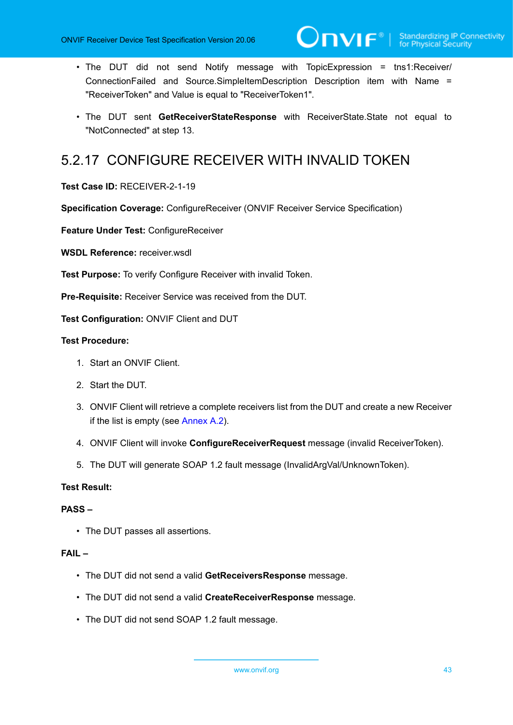- The DUT did not send Notify message with TopicExpression = tns1:Receiver/ ConnectionFailed and Source.SimpleItemDescription Description item with Name = "ReceiverToken" and Value is equal to "ReceiverToken1".
- The DUT sent **GetReceiverStateResponse** with ReceiverState.State not equal to "NotConnected" at step 13.

### <span id="page-42-0"></span>5.2.17 CONFIGURE RECEIVER WITH INVALID TOKEN

**Test Case ID:** RECEIVER-2-1-19

**Specification Coverage:** ConfigureReceiver (ONVIF Receiver Service Specification)

**Feature Under Test:** ConfigureReceiver

**WSDL Reference:** receiver wsdl

**Test Purpose:** To verify Configure Receiver with invalid Token.

**Pre-Requisite:** Receiver Service was received from the DUT.

**Test Configuration:** ONVIF Client and DUT

#### **Test Procedure:**

- 1. Start an ONVIF Client.
- 2. Start the DUT.
- 3. ONVIF Client will retrieve a complete receivers list from the DUT and create a new Receiver if the list is empty (see [Annex A.2\)](#page-47-2).
- 4. ONVIF Client will invoke **ConfigureReceiverRequest** message (invalid ReceiverToken).
- 5. The DUT will generate SOAP 1.2 fault message (InvalidArgVal/UnknownToken).

#### **Test Result:**

#### **PASS –**

• The DUT passes all assertions.

#### **FAIL –**

- The DUT did not send a valid **GetReceiversResponse** message.
- The DUT did not send a valid **CreateReceiverResponse** message.
- The DUT did not send SOAP 1.2 fault message.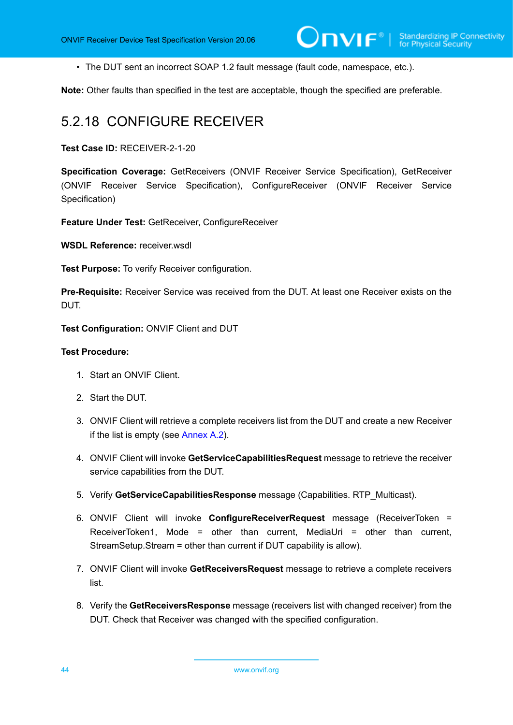• The DUT sent an incorrect SOAP 1.2 fault message (fault code, namespace, etc.).

<span id="page-43-0"></span>**Note:** Other faults than specified in the test are acceptable, though the specified are preferable.

### 5.2.18 CONFIGURE RECEIVER

**Test Case ID:** RECEIVER-2-1-20

**Specification Coverage:** GetReceivers (ONVIF Receiver Service Specification), GetReceiver (ONVIF Receiver Service Specification), ConfigureReceiver (ONVIF Receiver Service Specification)

**Feature Under Test:** GetReceiver, ConfigureReceiver

**WSDL Reference:** receiver.wsdl

**Test Purpose:** To verify Receiver configuration.

**Pre-Requisite:** Receiver Service was received from the DUT. At least one Receiver exists on the DUT.

**Test Configuration:** ONVIF Client and DUT

- 1. Start an ONVIF Client.
- 2. Start the DUT.
- 3. ONVIF Client will retrieve a complete receivers list from the DUT and create a new Receiver if the list is empty (see [Annex A.2\)](#page-47-2).
- 4. ONVIF Client will invoke **GetServiceCapabilitiesRequest** message to retrieve the receiver service capabilities from the DUT.
- 5. Verify **GetServiceCapabilitiesResponse** message (Capabilities. RTP\_Multicast).
- 6. ONVIF Client will invoke **ConfigureReceiverRequest** message (ReceiverToken = ReceiverToken1, Mode = other than current, MediaUri = other than current, StreamSetup.Stream = other than current if DUT capability is allow).
- 7. ONVIF Client will invoke **GetReceiversRequest** message to retrieve a complete receivers list.
- 8. Verify the **GetReceiversResponse** message (receivers list with changed receiver) from the DUT. Check that Receiver was changed with the specified configuration.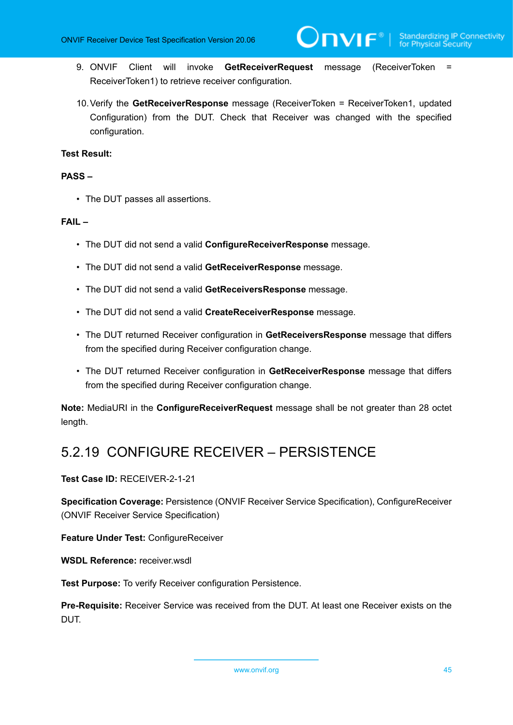- 9. ONVIF Client will invoke **GetReceiverRequest** message (ReceiverToken = ReceiverToken1) to retrieve receiver configuration.
- 10.Verify the **GetReceiverResponse** message (ReceiverToken = ReceiverToken1, updated Configuration) from the DUT. Check that Receiver was changed with the specified configuration.

#### **PASS –**

• The DUT passes all assertions.

#### **FAIL –**

- The DUT did not send a valid **ConfigureReceiverResponse** message.
- The DUT did not send a valid **GetReceiverResponse** message.
- The DUT did not send a valid **GetReceiversResponse** message.
- The DUT did not send a valid **CreateReceiverResponse** message.
- The DUT returned Receiver configuration in **GetReceiversResponse** message that differs from the specified during Receiver configuration change.
- The DUT returned Receiver configuration in **GetReceiverResponse** message that differs from the specified during Receiver configuration change.

**Note:** MediaURI in the **ConfigureReceiverRequest** message shall be not greater than 28 octet length.

### <span id="page-44-0"></span>5.2.19 CONFIGURE RECEIVER – PERSISTENCE

**Test Case ID:** RECEIVER-2-1-21

**Specification Coverage:** Persistence (ONVIF Receiver Service Specification), ConfigureReceiver (ONVIF Receiver Service Specification)

**Feature Under Test:** ConfigureReceiver

**WSDL Reference:** receiver.wsdl

**Test Purpose:** To verify Receiver configuration Persistence.

**Pre-Requisite:** Receiver Service was received from the DUT. At least one Receiver exists on the DUT.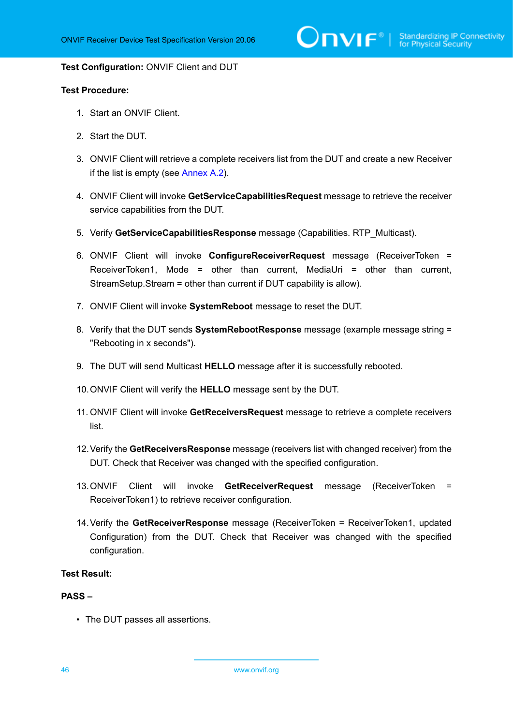$\sum_{\text{IVIF}^\text{\tiny\textcircled{\tiny{\tiny{N}}}}}$  | Standardizing IP Connectivity

#### **Test Configuration:** ONVIF Client and DUT

#### **Test Procedure:**

- 1. Start an ONVIF Client.
- 2. Start the DUT.
- 3. ONVIF Client will retrieve a complete receivers list from the DUT and create a new Receiver if the list is empty (see [Annex A.2\)](#page-47-2).
- 4. ONVIF Client will invoke **GetServiceCapabilitiesRequest** message to retrieve the receiver service capabilities from the DUT.
- 5. Verify **GetServiceCapabilitiesResponse** message (Capabilities. RTP\_Multicast).
- 6. ONVIF Client will invoke **ConfigureReceiverRequest** message (ReceiverToken = ReceiverToken1, Mode = other than current, MediaUri = other than current, StreamSetup.Stream = other than current if DUT capability is allow).
- 7. ONVIF Client will invoke **SystemReboot** message to reset the DUT.
- 8. Verify that the DUT sends **SystemRebootResponse** message (example message string = "Rebooting in x seconds").
- 9. The DUT will send Multicast **HELLO** message after it is successfully rebooted.
- 10.ONVIF Client will verify the **HELLO** message sent by the DUT.
- 11. ONVIF Client will invoke **GetReceiversRequest** message to retrieve a complete receivers list.
- 12.Verify the **GetReceiversResponse** message (receivers list with changed receiver) from the DUT. Check that Receiver was changed with the specified configuration.
- 13.ONVIF Client will invoke **GetReceiverRequest** message (ReceiverToken = ReceiverToken1) to retrieve receiver configuration.
- 14.Verify the **GetReceiverResponse** message (ReceiverToken = ReceiverToken1, updated Configuration) from the DUT. Check that Receiver was changed with the specified configuration.

#### **Test Result:**

#### **PASS –**

• The DUT passes all assertions.

46 www.onvif.org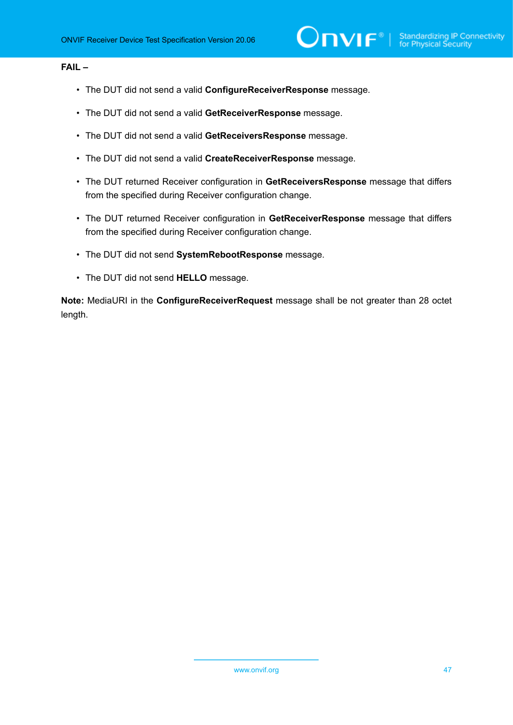#### **FAIL –**

- The DUT did not send a valid **ConfigureReceiverResponse** message.
- The DUT did not send a valid **GetReceiverResponse** message.
- The DUT did not send a valid **GetReceiversResponse** message.
- The DUT did not send a valid **CreateReceiverResponse** message.
- The DUT returned Receiver configuration in **GetReceiversResponse** message that differs from the specified during Receiver configuration change.
- The DUT returned Receiver configuration in **GetReceiverResponse** message that differs from the specified during Receiver configuration change.
- The DUT did not send **SystemRebootResponse** message.
- The DUT did not send **HELLO** message.

**Note:** MediaURI in the **ConfigureReceiverRequest** message shall be not greater than 28 octet length.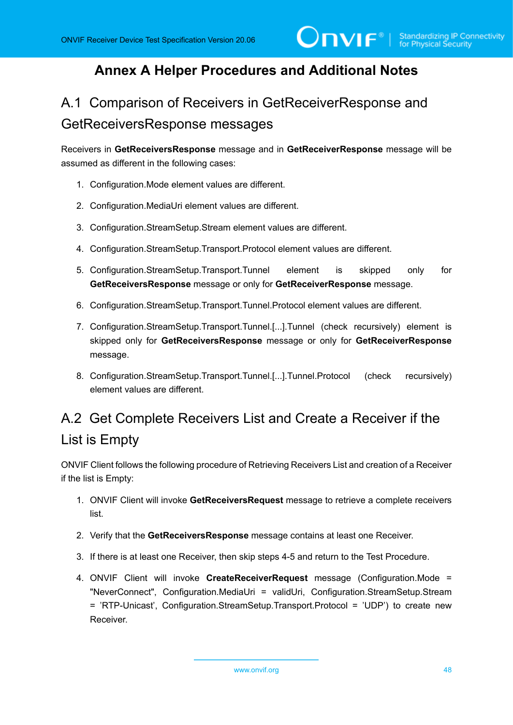### <span id="page-47-0"></span>**Annex A Helper Procedures and Additional Notes**

# <span id="page-47-1"></span>A.1 Comparison of Receivers in GetReceiverResponse and GetReceiversResponse messages

Receivers in **GetReceiversResponse** message and in **GetReceiverResponse** message will be assumed as different in the following cases:

- 1. Configuration.Mode element values are different.
- 2. Configuration.MediaUri element values are different.
- 3. Configuration.StreamSetup.Stream element values are different.
- 4. Configuration.StreamSetup.Transport.Protocol element values are different.
- 5. Configuration.StreamSetup.Transport.Tunnel element is skipped only for **GetReceiversResponse** message or only for **GetReceiverResponse** message.
- 6. Configuration.StreamSetup.Transport.Tunnel.Protocol element values are different.
- 7. Configuration.StreamSetup.Transport.Tunnel.[...].Tunnel (check recursively) element is skipped only for **GetReceiversResponse** message or only for **GetReceiverResponse** message.
- 8. Configuration.StreamSetup.Transport.Tunnel.[...].Tunnel.Protocol (check recursively) element values are different.

# <span id="page-47-2"></span>A.2 Get Complete Receivers List and Create a Receiver if the List is Empty

ONVIF Client follows the following procedure of Retrieving Receivers List and creation of a Receiver if the list is Empty:

- 1. ONVIF Client will invoke **GetReceiversRequest** message to retrieve a complete receivers list.
- 2. Verify that the **GetReceiversResponse** message contains at least one Receiver.
- 3. If there is at least one Receiver, then skip steps 4-5 and return to the Test Procedure.
- 4. ONVIF Client will invoke **CreateReceiverRequest** message (Configuration.Mode = "NeverConnect", Configuration.MediaUri = validUri, Configuration.StreamSetup.Stream = 'RTP-Unicast', Configuration.StreamSetup.Transport.Protocol = 'UDP') to create new Receiver.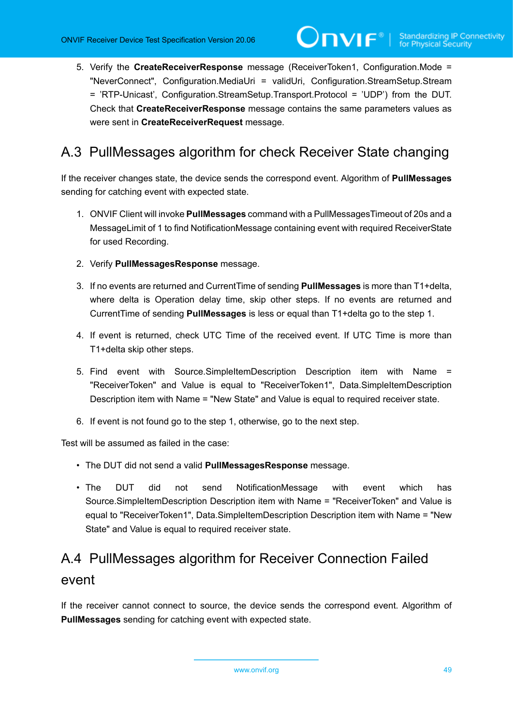5. Verify the **CreateReceiverResponse** message (ReceiverToken1, Configuration.Mode = "NeverConnect", Configuration.MediaUri = validUri, Configuration.StreamSetup.Stream = 'RTP-Unicast', Configuration.StreamSetup.Transport.Protocol = 'UDP') from the DUT. Check that **CreateReceiverResponse** message contains the same parameters values as were sent in **CreateReceiverRequest** message.

### <span id="page-48-0"></span>A.3 PullMessages algorithm for check Receiver State changing

If the receiver changes state, the device sends the correspond event. Algorithm of **PullMessages** sending for catching event with expected state.

- 1. ONVIF Client will invoke **PullMessages** command with a PullMessagesTimeout of 20s and a MessageLimit of 1 to find NotificationMessage containing event with required ReceiverState for used Recording.
- 2. Verify **PullMessagesResponse** message.
- 3. If no events are returned and CurrentTime of sending **PullMessages** is more than T1+delta, where delta is Operation delay time, skip other steps. If no events are returned and CurrentTime of sending **PullMessages** is less or equal than T1+delta go to the step 1.
- 4. If event is returned, check UTC Time of the received event. If UTC Time is more than T1+delta skip other steps.
- 5. Find event with Source.SimpleItemDescription Description item with Name = "ReceiverToken" and Value is equal to "ReceiverToken1", Data.SimpleItemDescription Description item with Name = "New State" and Value is equal to required receiver state.
- 6. If event is not found go to the step 1, otherwise, go to the next step.

Test will be assumed as failed in the case:

- The DUT did not send a valid **PullMessagesResponse** message.
- The DUT did not send NotificationMessage with event which has Source.SimpleItemDescription Description item with Name = "ReceiverToken" and Value is equal to "ReceiverToken1", Data.SimpleItemDescription Description item with Name = "New State" and Value is equal to required receiver state.

# <span id="page-48-1"></span>A.4 PullMessages algorithm for Receiver Connection Failed event

If the receiver cannot connect to source, the device sends the correspond event. Algorithm of **PullMessages** sending for catching event with expected state.